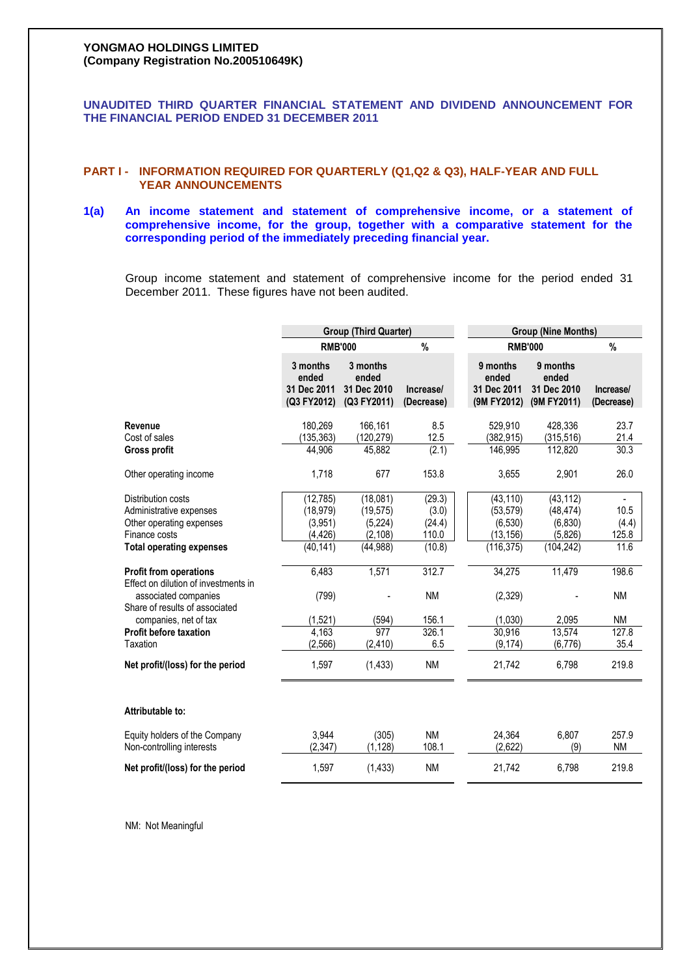# **YONGMAO HOLDINGS LIMITED (Company Registration No.200510649K)**

# **UNAUDITED THIRD QUARTER FINANCIAL STATEMENT AND DIVIDEND ANNOUNCEMENT FOR THE FINANCIAL PERIOD ENDED 31 DECEMBER 2011**

# **PART I - INFORMATION REQUIRED FOR QUARTERLY (Q1,Q2 & Q3), HALF-YEAR AND FULL YEAR ANNOUNCEMENTS**

# **1(a) An income statement and statement of comprehensive income, or a statement of comprehensive income, for the group, together with a comparative statement for the corresponding period of the immediately preceding financial year.**

Group income statement and statement of comprehensive income for the period ended 31 December 2011. These figures have not been audited.

|                                                                                                                                 | <b>Group (Third Quarter)</b>                               |                                                           |                                              | <b>Group (Nine Months)</b>                                    |                                                             |                                                            |  |
|---------------------------------------------------------------------------------------------------------------------------------|------------------------------------------------------------|-----------------------------------------------------------|----------------------------------------------|---------------------------------------------------------------|-------------------------------------------------------------|------------------------------------------------------------|--|
|                                                                                                                                 | <b>RMB'000</b>                                             |                                                           | %                                            | <b>RMB'000</b>                                                |                                                             | %                                                          |  |
|                                                                                                                                 | 3 months<br>ended<br>31 Dec 2011<br>(Q3 FY2012)            | 3 months<br>ended<br>31 Dec 2010<br>(Q3 FY2011)           | Increase/<br>(Decrease)                      | 9 months<br>ended<br>31 Dec 2011<br>(9M FY2012)               | 9 months<br>ended<br>31 Dec 2010<br>(9M FY2011)             | Increase/<br>(Decrease)                                    |  |
| Revenue<br>Cost of sales<br>Gross profit                                                                                        | 180,269<br>(135, 363)<br>44,906                            | 166,161<br>(120, 279)<br>45,882                           | 8.5<br>12.5<br>(2.1)                         | 529,910<br>(382, 915)<br>146,995                              | 428,336<br>(315, 516)<br>112,820                            | 23.7<br>21.4<br>30.3                                       |  |
| Other operating income                                                                                                          | 1,718                                                      | 677                                                       | 153.8                                        | 3,655                                                         | 2,901                                                       | 26.0                                                       |  |
| Distribution costs<br>Administrative expenses<br>Other operating expenses<br>Finance costs<br><b>Total operating expenses</b>   | (12, 785)<br>(18, 979)<br>(3,951)<br>(4, 426)<br>(40, 141) | (18,081)<br>(19, 575)<br>(5,224)<br>(2, 108)<br>(44, 988) | (29.3)<br>(3.0)<br>(24.4)<br>110.0<br>(10.8) | (43, 110)<br>(53, 579)<br>(6, 530)<br>(13, 156)<br>(116, 375) | (43, 112)<br>(48, 474)<br>(6, 830)<br>(5,826)<br>(104, 242) | $\overline{\phantom{a}}$<br>10.5<br>(4.4)<br>125.8<br>11.6 |  |
| <b>Profit from operations</b><br>Effect on dilution of investments in<br>associated companies<br>Share of results of associated | 6,483<br>(799)                                             | 1,571                                                     | 312.7<br><b>NM</b>                           | 34,275<br>(2,329)                                             | 11,479                                                      | 198.6<br><b>NM</b>                                         |  |
| companies, net of tax<br><b>Profit before taxation</b><br>Taxation                                                              | (1, 521)<br>4,163<br>(2, 566)                              | (594)<br>977<br>(2, 410)                                  | 156.1<br>326.1<br>6.5                        | (1,030)<br>30,916<br>(9, 174)                                 | 2,095<br>13,574<br>(6, 776)                                 | <b>NM</b><br>127.8<br>35.4                                 |  |
| Net profit/(loss) for the period                                                                                                | 1,597                                                      | (1, 433)                                                  | <b>NM</b>                                    | 21,742                                                        | 6,798                                                       | 219.8                                                      |  |
| Attributable to:                                                                                                                |                                                            |                                                           |                                              |                                                               |                                                             |                                                            |  |
| Equity holders of the Company<br>Non-controlling interests                                                                      | 3.944<br>(2, 347)                                          | (305)<br>(1, 128)                                         | <b>NM</b><br>108.1                           | 24,364<br>(2,622)                                             | 6,807<br>(9)                                                | 257.9<br><b>NM</b>                                         |  |
| Net profit/(loss) for the period                                                                                                | 1,597                                                      | (1, 433)                                                  | <b>NM</b>                                    | 21,742                                                        | 6,798                                                       | 219.8                                                      |  |

NM: Not Meaningful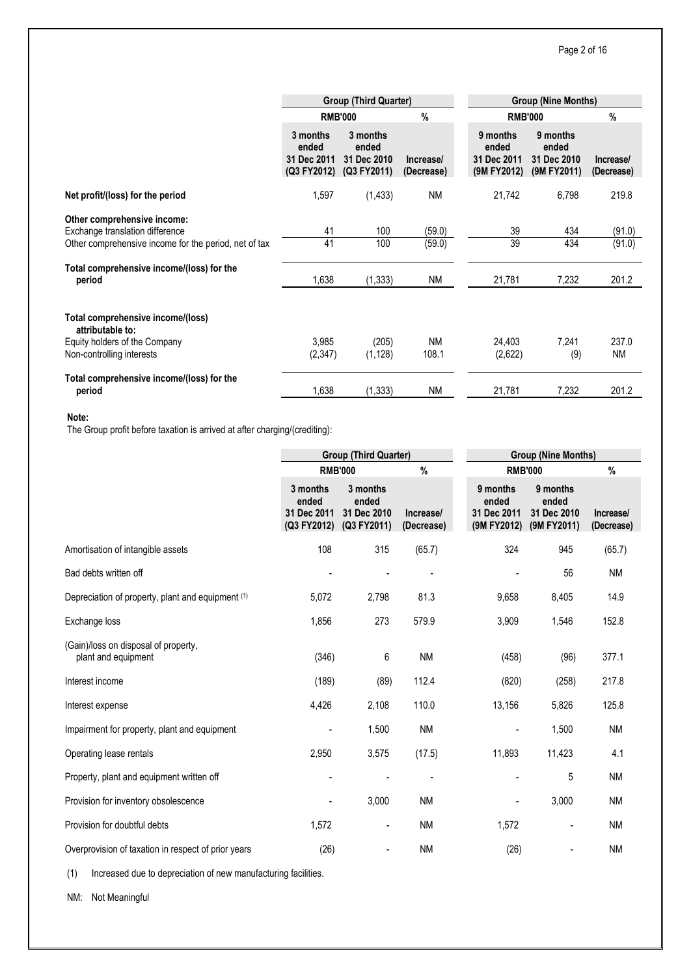|                                                                                                                         |                                                 | <b>Group (Third Quarter)</b>                    |                         | <b>Group (Nine Months)</b>                      |                                                 |                         |  |
|-------------------------------------------------------------------------------------------------------------------------|-------------------------------------------------|-------------------------------------------------|-------------------------|-------------------------------------------------|-------------------------------------------------|-------------------------|--|
|                                                                                                                         | <b>RMB'000</b>                                  |                                                 | $\frac{0}{0}$           |                                                 | <b>RMB'000</b>                                  | $\%$                    |  |
|                                                                                                                         | 3 months<br>ended<br>31 Dec 2011<br>(Q3 FY2012) | 3 months<br>ended<br>31 Dec 2010<br>(Q3 FY2011) | Increase/<br>(Decrease) | 9 months<br>ended<br>31 Dec 2011<br>(9M FY2012) | 9 months<br>ended<br>31 Dec 2010<br>(9M FY2011) | Increase/<br>(Decrease) |  |
| Net profit/(loss) for the period                                                                                        | 1,597                                           | (1, 433)                                        | <b>NM</b>               | 21,742                                          | 6,798                                           | 219.8                   |  |
| Other comprehensive income:<br>Exchange translation difference<br>Other comprehensive income for the period, net of tax | 41<br>41                                        | 100<br>100                                      | (59.0)<br>(59.0)        | 39<br>39                                        | 434<br>434                                      | (91.0)<br>(91.0)        |  |
| Total comprehensive income/(loss) for the<br>period                                                                     | 1,638                                           | (1, 333)                                        | <b>NM</b>               | 21,781                                          | 7,232                                           | 201.2                   |  |
| Total comprehensive income/(loss)<br>attributable to:<br>Equity holders of the Company<br>Non-controlling interests     | 3.985<br>(2,347)                                | (205)<br>(1, 128)                               | <b>NM</b><br>108.1      | 24,403<br>(2,622)                               | 7.241<br>(9)                                    | 237.0<br>ΝM             |  |
| Total comprehensive income/(loss) for the<br>period                                                                     | 1,638                                           | (1, 333)                                        | <b>NM</b>               | 21,781                                          | 7,232                                           | 201.2                   |  |

#### **Note:**

The Group profit before taxation is arrived at after charging/(crediting):

|                                                             |                                                 | <b>Group (Third Quarter)</b>                    |                         | <b>Group (Nine Months)</b>                      |                                                 |                         |  |
|-------------------------------------------------------------|-------------------------------------------------|-------------------------------------------------|-------------------------|-------------------------------------------------|-------------------------------------------------|-------------------------|--|
|                                                             | <b>RMB'000</b>                                  |                                                 | $\%$                    | <b>RMB'000</b>                                  | $\%$                                            |                         |  |
|                                                             | 3 months<br>ended<br>31 Dec 2011<br>(Q3 FY2012) | 3 months<br>ended<br>31 Dec 2010<br>(Q3 FY2011) | Increase/<br>(Decrease) | 9 months<br>ended<br>31 Dec 2011<br>(9M FY2012) | 9 months<br>ended<br>31 Dec 2010<br>(9M FY2011) | Increase/<br>(Decrease) |  |
| Amortisation of intangible assets                           | 108                                             | 315                                             | (65.7)                  | 324                                             | 945                                             | (65.7)                  |  |
| Bad debts written off                                       | ٠                                               |                                                 |                         |                                                 | 56                                              | <b>NM</b>               |  |
| Depreciation of property, plant and equipment (1)           | 5,072                                           | 2,798                                           | 81.3                    | 9,658                                           | 8,405                                           | 14.9                    |  |
| Exchange loss                                               | 1,856                                           | 273                                             | 579.9                   | 3,909                                           | 1,546                                           | 152.8                   |  |
| (Gain)/loss on disposal of property,<br>plant and equipment | (346)                                           | 6                                               | <b>NM</b>               | (458)                                           | (96)                                            | 377.1                   |  |
| Interest income                                             | (189)                                           | (89)                                            | 112.4                   | (820)                                           | (258)                                           | 217.8                   |  |
| Interest expense                                            | 4,426                                           | 2,108                                           | 110.0                   | 13,156                                          | 5,826                                           | 125.8                   |  |
| Impairment for property, plant and equipment                |                                                 | 1,500                                           | <b>NM</b>               |                                                 | 1,500                                           | <b>NM</b>               |  |
| Operating lease rentals                                     | 2,950                                           | 3,575                                           | (17.5)                  | 11,893                                          | 11,423                                          | 4.1                     |  |
| Property, plant and equipment written off                   |                                                 |                                                 |                         |                                                 | 5                                               | <b>NM</b>               |  |
| Provision for inventory obsolescence                        |                                                 | 3,000                                           | <b>NM</b>               |                                                 | 3,000                                           | <b>NM</b>               |  |
| Provision for doubtful debts                                | 1,572                                           | $\overline{\phantom{0}}$                        | <b>NM</b>               | 1,572                                           |                                                 | <b>NM</b>               |  |
| Overprovision of taxation in respect of prior years         | (26)                                            | $\overline{\phantom{0}}$                        | <b>NM</b>               | (26)                                            |                                                 | <b>NM</b>               |  |

(1) Increased due to depreciation of new manufacturing facilities.

NM: Not Meaningful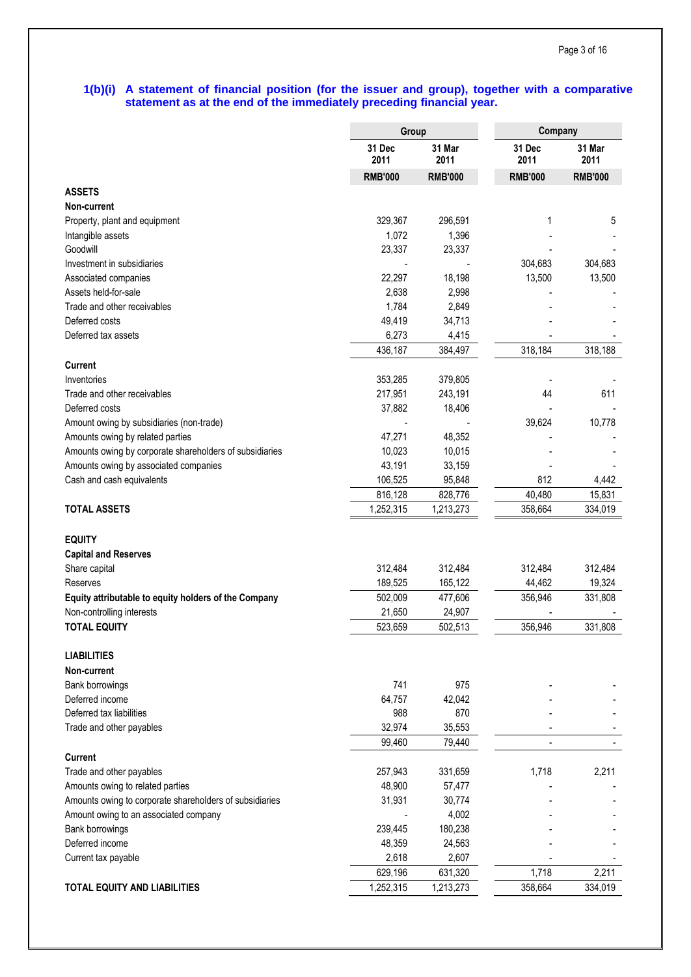# **1(b)(i) A statement of financial position (for the issuer and group), together with a comparative statement as at the end of the immediately preceding financial year.**

|                                                         | Group          |                | Company        |                |
|---------------------------------------------------------|----------------|----------------|----------------|----------------|
|                                                         | 31 Dec<br>2011 | 31 Mar<br>2011 | 31 Dec<br>2011 | 31 Mar<br>2011 |
|                                                         | <b>RMB'000</b> | <b>RMB'000</b> | <b>RMB'000</b> | <b>RMB'000</b> |
| <b>ASSETS</b>                                           |                |                |                |                |
| Non-current                                             |                |                |                |                |
| Property, plant and equipment                           | 329,367        | 296,591        | 1              | 5              |
| Intangible assets                                       | 1,072          | 1,396          |                |                |
| Goodwill                                                | 23,337         | 23,337         |                |                |
| Investment in subsidiaries                              |                |                | 304,683        | 304,683        |
| Associated companies                                    | 22,297         | 18,198         | 13,500         | 13,500         |
| Assets held-for-sale                                    | 2,638          | 2,998          |                |                |
| Trade and other receivables                             | 1,784          | 2,849          |                |                |
| Deferred costs                                          | 49,419         | 34,713         |                |                |
| Deferred tax assets                                     | 6,273          | 4,415          |                |                |
|                                                         | 436,187        | 384,497        | 318,184        | 318,188        |
| Current                                                 |                |                |                |                |
| Inventories                                             | 353,285        | 379,805        |                |                |
| Trade and other receivables                             | 217,951        | 243,191        | 44             | 611            |
| Deferred costs                                          | 37,882         | 18,406         |                |                |
| Amount owing by subsidiaries (non-trade)                |                |                | 39,624         | 10,778         |
| Amounts owing by related parties                        | 47,271         | 48,352         |                |                |
| Amounts owing by corporate shareholders of subsidiaries | 10,023         | 10,015         |                |                |
| Amounts owing by associated companies                   | 43,191         | 33,159         |                |                |
| Cash and cash equivalents                               | 106,525        | 95,848         | 812            | 4,442          |
|                                                         | 816,128        | 828,776        | 40,480         | 15,831         |
| <b>TOTAL ASSETS</b>                                     | 1,252,315      | 1,213,273      | 358,664        | 334,019        |
|                                                         |                |                |                |                |
| <b>EQUITY</b>                                           |                |                |                |                |
| <b>Capital and Reserves</b>                             |                |                |                |                |
| Share capital                                           | 312,484        | 312,484        | 312,484        | 312,484        |
| Reserves                                                | 189,525        | 165,122        | 44,462         | 19,324         |
| Equity attributable to equity holders of the Company    | 502,009        | 477,606        | 356,946        | 331,808        |
| Non-controlling interests                               | 21,650         | 24,907         |                |                |
| <b>TOTAL EQUITY</b>                                     | 523,659        | 502,513        | 356,946        | 331,808        |
|                                                         |                |                |                |                |
| <b>LIABILITIES</b>                                      |                |                |                |                |
| Non-current                                             |                |                |                |                |
| Bank borrowings                                         | 741            | 975            |                |                |
| Deferred income                                         | 64,757         | 42,042         |                |                |
| Deferred tax liabilities                                | 988            | 870            |                |                |
| Trade and other payables                                | 32,974         | 35,553         |                |                |
|                                                         | 99,460         | 79,440         |                |                |
| <b>Current</b>                                          |                |                |                |                |
| Trade and other payables                                | 257,943        | 331,659        | 1,718          | 2,211          |
| Amounts owing to related parties                        | 48,900         | 57,477         |                |                |
| Amounts owing to corporate shareholders of subsidiaries | 31,931         | 30,774         |                |                |
| Amount owing to an associated company                   |                | 4,002          |                |                |
| Bank borrowings                                         | 239,445        | 180,238        |                |                |
| Deferred income                                         | 48,359         | 24,563         |                |                |
| Current tax payable                                     | 2,618          | 2,607          |                |                |
|                                                         | 629,196        | 631,320        | 1,718          | 2,211          |
| <b>TOTAL EQUITY AND LIABILITIES</b>                     | 1,252,315      | 1,213,273      | 358,664        | 334,019        |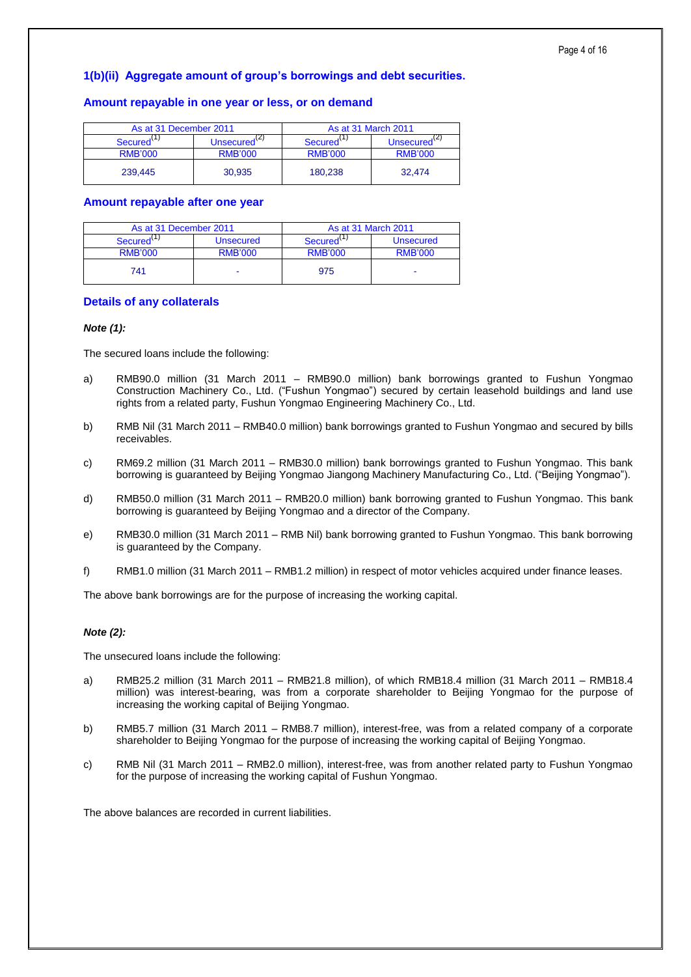# **1(b)(ii) Aggregate amount of group's borrowings and debt securities.**

# **Amount repayable in one year or less, or on demand**

| As at 31 December 2011 |                          | As at 31 March 2011  |                          |  |  |
|------------------------|--------------------------|----------------------|--------------------------|--|--|
| Secured '              | Unsecured <sup>(2)</sup> | Secured <sup>\</sup> | Unsecured <sup>(2)</sup> |  |  |
| <b>RMB'000</b>         | <b>RMB'000</b>           | <b>RMB'000</b>       | <b>RMB'000</b>           |  |  |
| 239.445                | 30,935                   | 180.238              | 32.474                   |  |  |

# **Amount repayable after one year**

| As at 31 December 2011 |                  | As at 31 March 2011 |                |  |
|------------------------|------------------|---------------------|----------------|--|
| Secured'               | <b>Unsecured</b> | Secured'            | Unsecured      |  |
| <b>RMB'000</b>         | <b>RMB'000</b>   | <b>RMB'000</b>      | <b>RMB'000</b> |  |
| 741                    |                  | 975                 |                |  |

# **Details of any collaterals**

## *Note (1):*

The secured loans include the following:

- a) RMB90.0 million (31 March 2011 RMB90.0 million) bank borrowings granted to Fushun Yongmao Construction Machinery Co., Ltd. ("Fushun Yongmao") secured by certain leasehold buildings and land use rights from a related party, Fushun Yongmao Engineering Machinery Co., Ltd.
- b) RMB Nil (31 March 2011 RMB40.0 million) bank borrowings granted to Fushun Yongmao and secured by bills receivables.
- c) RM69.2 million (31 March 2011 RMB30.0 million) bank borrowings granted to Fushun Yongmao. This bank borrowing is guaranteed by Beijing Yongmao Jiangong Machinery Manufacturing Co., Ltd. ("Beijing Yongmao").
- d) RMB50.0 million (31 March 2011 RMB20.0 million) bank borrowing granted to Fushun Yongmao. This bank borrowing is guaranteed by Beijing Yongmao and a director of the Company.
- e) RMB30.0 million (31 March 2011 RMB Nil) bank borrowing granted to Fushun Yongmao. This bank borrowing is guaranteed by the Company.
- f) RMB1.0 million (31 March 2011 RMB1.2 million) in respect of motor vehicles acquired under finance leases.

The above bank borrowings are for the purpose of increasing the working capital.

# *Note (2):*

The unsecured loans include the following:

- a) RMB25.2 million (31 March 2011 RMB21.8 million), of which RMB18.4 million (31 March 2011 RMB18.4 million) was interest-bearing, was from a corporate shareholder to Beijing Yongmao for the purpose of increasing the working capital of Beijing Yongmao.
- b) RMB5.7 million (31 March 2011 RMB8.7 million), interest-free, was from a related company of a corporate shareholder to Beijing Yongmao for the purpose of increasing the working capital of Beijing Yongmao.
- c) RMB Nil (31 March 2011 RMB2.0 million), interest-free, was from another related party to Fushun Yongmao for the purpose of increasing the working capital of Fushun Yongmao.

The above balances are recorded in current liabilities.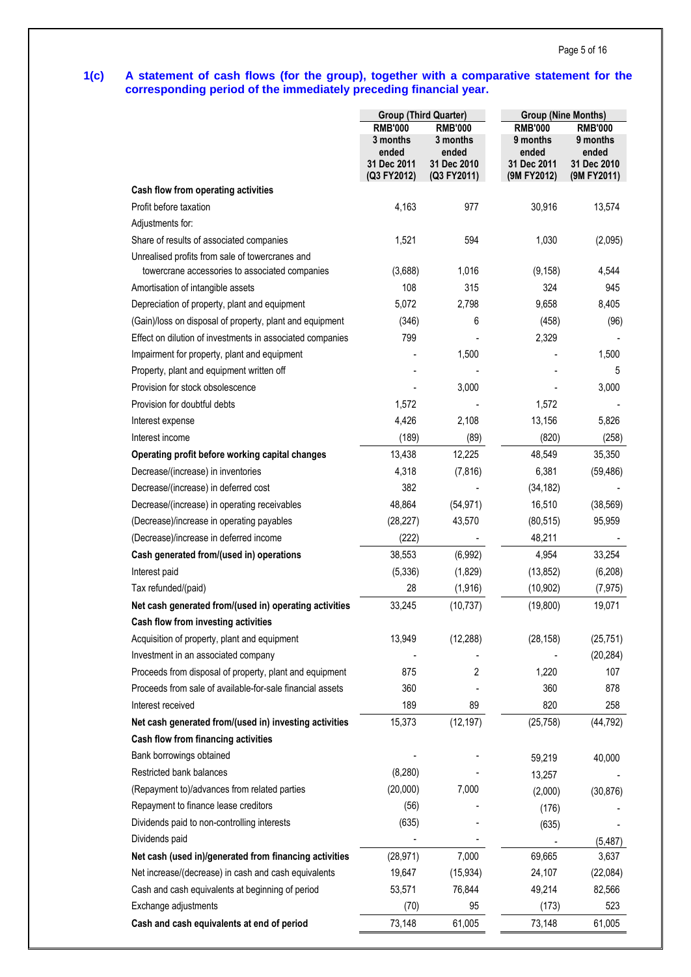# **1(c) A statement of cash flows (for the group), together with a comparative statement for the corresponding period of the immediately preceding financial year.**

| <b>RMB'000</b><br><b>RMB'000</b><br><b>RMB'000</b><br><b>RMB'000</b><br>3 months<br>3 months<br>9 months<br>9 months<br>ended<br>ended<br>ended<br>ended<br>31 Dec 2011<br>31 Dec 2010<br>31 Dec 2011<br>31 Dec 2010<br>(Q3 FY2012)<br>(Q3 FY2011)<br>(9M FY2012)<br>(9M FY2011)<br>Cash flow from operating activities<br>Profit before taxation<br>4,163<br>30,916<br>977<br>13,574<br>Adjustments for:<br>Share of results of associated companies<br>594<br>1,521<br>1,030<br>(2,095)<br>Unrealised profits from sale of towercranes and<br>towercrane accessories to associated companies<br>(3,688)<br>1,016<br>(9, 158)<br>4,544<br>108<br>315<br>324<br>945<br>Amortisation of intangible assets<br>8,405<br>Depreciation of property, plant and equipment<br>5,072<br>2,798<br>9,658<br>(Gain)/loss on disposal of property, plant and equipment<br>(346)<br>6<br>(458)<br>(96)<br>799<br>Effect on dilution of investments in associated companies<br>2,329<br>Impairment for property, plant and equipment<br>1,500<br>1,500<br>Property, plant and equipment written off<br>5<br>Provision for stock obsolescence<br>3,000<br>3,000<br>Provision for doubtful debts<br>1,572<br>1,572<br>4,426<br>2,108<br>13,156<br>5,826<br>Interest expense<br>(189)<br>Interest income<br>(89)<br>(820)<br>(258)<br>13,438<br>12,225<br>48,549<br>35,350<br>Operating profit before working capital changes<br>Decrease/(increase) in inventories<br>4,318<br>(7, 816)<br>6,381<br>(59, 486)<br>382<br>Decrease/(increase) in deferred cost<br>(34, 182)<br>(54, 971)<br>16,510<br>Decrease/(increase) in operating receivables<br>48,864<br>(38, 569)<br>(Decrease)/increase in operating payables<br>(28, 227)<br>43,570<br>(80, 515)<br>95,959<br>(222)<br>(Decrease)/increase in deferred income<br>48,211<br>Cash generated from/(used in) operations<br>38,553<br>(6,992)<br>33,254<br>4,954<br>Interest paid<br>(5, 336)<br>(1,829)<br>(13, 852)<br>(6,208)<br>28<br>Tax refunded/(paid)<br>(1, 916)<br>(10, 902)<br>(7, 975)<br>33,245<br>(19, 800)<br>Net cash generated from/(used in) operating activities<br>(10, 737)<br>19,071<br>Cash flow from investing activities<br>Acquisition of property, plant and equipment<br>13,949<br>(12, 288)<br>(28, 158)<br>(25, 751)<br>Investment in an associated company<br>(20, 284)<br>Proceeds from disposal of property, plant and equipment<br>875<br>2<br>1,220<br>107<br>Proceeds from sale of available-for-sale financial assets<br>360<br>878<br>360<br>189<br>89<br>820<br>Interest received<br>258<br>Net cash generated from/(used in) investing activities<br>15,373<br>(12, 197)<br>(25, 758)<br>(44, 792)<br>Cash flow from financing activities<br>Bank borrowings obtained<br>59,219<br>40,000<br>Restricted bank balances<br>(8, 280)<br>13,257<br>(Repayment to)/advances from related parties<br>(20,000)<br>7,000<br>(30, 876)<br>(2,000)<br>Repayment to finance lease creditors<br>(56)<br>(176)<br>Dividends paid to non-controlling interests<br>(635)<br>(635)<br>Dividends paid<br>(5, 487)<br>Net cash (used in)/generated from financing activities<br>7,000<br>69,665<br>(28, 971)<br>3,637<br>Net increase/(decrease) in cash and cash equivalents<br>19,647<br>(15, 934)<br>24,107<br>(22,084)<br>Cash and cash equivalents at beginning of period<br>53,571<br>76,844<br>49,214<br>82,566<br>Exchange adjustments<br>(70)<br>95<br>(173)<br>523 |                                            | <b>Group (Third Quarter)</b> |        | <b>Group (Nine Months)</b> |        |  |  |
|--------------------------------------------------------------------------------------------------------------------------------------------------------------------------------------------------------------------------------------------------------------------------------------------------------------------------------------------------------------------------------------------------------------------------------------------------------------------------------------------------------------------------------------------------------------------------------------------------------------------------------------------------------------------------------------------------------------------------------------------------------------------------------------------------------------------------------------------------------------------------------------------------------------------------------------------------------------------------------------------------------------------------------------------------------------------------------------------------------------------------------------------------------------------------------------------------------------------------------------------------------------------------------------------------------------------------------------------------------------------------------------------------------------------------------------------------------------------------------------------------------------------------------------------------------------------------------------------------------------------------------------------------------------------------------------------------------------------------------------------------------------------------------------------------------------------------------------------------------------------------------------------------------------------------------------------------------------------------------------------------------------------------------------------------------------------------------------------------------------------------------------------------------------------------------------------------------------------------------------------------------------------------------------------------------------------------------------------------------------------------------------------------------------------------------------------------------------------------------------------------------------------------------------------------------------------------------------------------------------------------------------------------------------------------------------------------------------------------------------------------------------------------------------------------------------------------------------------------------------------------------------------------------------------------------------------------------------------------------------------------------------------------------------------------------------------------------------------------------------------------------------------------------------------------------------------------------------------------------------------------------------------------------------------------------------------------------------------------------------------------------------------------------------------------------------|--------------------------------------------|------------------------------|--------|----------------------------|--------|--|--|
|                                                                                                                                                                                                                                                                                                                                                                                                                                                                                                                                                                                                                                                                                                                                                                                                                                                                                                                                                                                                                                                                                                                                                                                                                                                                                                                                                                                                                                                                                                                                                                                                                                                                                                                                                                                                                                                                                                                                                                                                                                                                                                                                                                                                                                                                                                                                                                                                                                                                                                                                                                                                                                                                                                                                                                                                                                                                                                                                                                                                                                                                                                                                                                                                                                                                                                                                                                                                                                      |                                            |                              |        |                            |        |  |  |
|                                                                                                                                                                                                                                                                                                                                                                                                                                                                                                                                                                                                                                                                                                                                                                                                                                                                                                                                                                                                                                                                                                                                                                                                                                                                                                                                                                                                                                                                                                                                                                                                                                                                                                                                                                                                                                                                                                                                                                                                                                                                                                                                                                                                                                                                                                                                                                                                                                                                                                                                                                                                                                                                                                                                                                                                                                                                                                                                                                                                                                                                                                                                                                                                                                                                                                                                                                                                                                      |                                            |                              |        |                            |        |  |  |
|                                                                                                                                                                                                                                                                                                                                                                                                                                                                                                                                                                                                                                                                                                                                                                                                                                                                                                                                                                                                                                                                                                                                                                                                                                                                                                                                                                                                                                                                                                                                                                                                                                                                                                                                                                                                                                                                                                                                                                                                                                                                                                                                                                                                                                                                                                                                                                                                                                                                                                                                                                                                                                                                                                                                                                                                                                                                                                                                                                                                                                                                                                                                                                                                                                                                                                                                                                                                                                      |                                            |                              |        |                            |        |  |  |
|                                                                                                                                                                                                                                                                                                                                                                                                                                                                                                                                                                                                                                                                                                                                                                                                                                                                                                                                                                                                                                                                                                                                                                                                                                                                                                                                                                                                                                                                                                                                                                                                                                                                                                                                                                                                                                                                                                                                                                                                                                                                                                                                                                                                                                                                                                                                                                                                                                                                                                                                                                                                                                                                                                                                                                                                                                                                                                                                                                                                                                                                                                                                                                                                                                                                                                                                                                                                                                      |                                            |                              |        |                            |        |  |  |
|                                                                                                                                                                                                                                                                                                                                                                                                                                                                                                                                                                                                                                                                                                                                                                                                                                                                                                                                                                                                                                                                                                                                                                                                                                                                                                                                                                                                                                                                                                                                                                                                                                                                                                                                                                                                                                                                                                                                                                                                                                                                                                                                                                                                                                                                                                                                                                                                                                                                                                                                                                                                                                                                                                                                                                                                                                                                                                                                                                                                                                                                                                                                                                                                                                                                                                                                                                                                                                      |                                            |                              |        |                            |        |  |  |
|                                                                                                                                                                                                                                                                                                                                                                                                                                                                                                                                                                                                                                                                                                                                                                                                                                                                                                                                                                                                                                                                                                                                                                                                                                                                                                                                                                                                                                                                                                                                                                                                                                                                                                                                                                                                                                                                                                                                                                                                                                                                                                                                                                                                                                                                                                                                                                                                                                                                                                                                                                                                                                                                                                                                                                                                                                                                                                                                                                                                                                                                                                                                                                                                                                                                                                                                                                                                                                      |                                            |                              |        |                            |        |  |  |
|                                                                                                                                                                                                                                                                                                                                                                                                                                                                                                                                                                                                                                                                                                                                                                                                                                                                                                                                                                                                                                                                                                                                                                                                                                                                                                                                                                                                                                                                                                                                                                                                                                                                                                                                                                                                                                                                                                                                                                                                                                                                                                                                                                                                                                                                                                                                                                                                                                                                                                                                                                                                                                                                                                                                                                                                                                                                                                                                                                                                                                                                                                                                                                                                                                                                                                                                                                                                                                      |                                            |                              |        |                            |        |  |  |
|                                                                                                                                                                                                                                                                                                                                                                                                                                                                                                                                                                                                                                                                                                                                                                                                                                                                                                                                                                                                                                                                                                                                                                                                                                                                                                                                                                                                                                                                                                                                                                                                                                                                                                                                                                                                                                                                                                                                                                                                                                                                                                                                                                                                                                                                                                                                                                                                                                                                                                                                                                                                                                                                                                                                                                                                                                                                                                                                                                                                                                                                                                                                                                                                                                                                                                                                                                                                                                      |                                            |                              |        |                            |        |  |  |
|                                                                                                                                                                                                                                                                                                                                                                                                                                                                                                                                                                                                                                                                                                                                                                                                                                                                                                                                                                                                                                                                                                                                                                                                                                                                                                                                                                                                                                                                                                                                                                                                                                                                                                                                                                                                                                                                                                                                                                                                                                                                                                                                                                                                                                                                                                                                                                                                                                                                                                                                                                                                                                                                                                                                                                                                                                                                                                                                                                                                                                                                                                                                                                                                                                                                                                                                                                                                                                      |                                            |                              |        |                            |        |  |  |
|                                                                                                                                                                                                                                                                                                                                                                                                                                                                                                                                                                                                                                                                                                                                                                                                                                                                                                                                                                                                                                                                                                                                                                                                                                                                                                                                                                                                                                                                                                                                                                                                                                                                                                                                                                                                                                                                                                                                                                                                                                                                                                                                                                                                                                                                                                                                                                                                                                                                                                                                                                                                                                                                                                                                                                                                                                                                                                                                                                                                                                                                                                                                                                                                                                                                                                                                                                                                                                      |                                            |                              |        |                            |        |  |  |
|                                                                                                                                                                                                                                                                                                                                                                                                                                                                                                                                                                                                                                                                                                                                                                                                                                                                                                                                                                                                                                                                                                                                                                                                                                                                                                                                                                                                                                                                                                                                                                                                                                                                                                                                                                                                                                                                                                                                                                                                                                                                                                                                                                                                                                                                                                                                                                                                                                                                                                                                                                                                                                                                                                                                                                                                                                                                                                                                                                                                                                                                                                                                                                                                                                                                                                                                                                                                                                      |                                            |                              |        |                            |        |  |  |
|                                                                                                                                                                                                                                                                                                                                                                                                                                                                                                                                                                                                                                                                                                                                                                                                                                                                                                                                                                                                                                                                                                                                                                                                                                                                                                                                                                                                                                                                                                                                                                                                                                                                                                                                                                                                                                                                                                                                                                                                                                                                                                                                                                                                                                                                                                                                                                                                                                                                                                                                                                                                                                                                                                                                                                                                                                                                                                                                                                                                                                                                                                                                                                                                                                                                                                                                                                                                                                      |                                            |                              |        |                            |        |  |  |
|                                                                                                                                                                                                                                                                                                                                                                                                                                                                                                                                                                                                                                                                                                                                                                                                                                                                                                                                                                                                                                                                                                                                                                                                                                                                                                                                                                                                                                                                                                                                                                                                                                                                                                                                                                                                                                                                                                                                                                                                                                                                                                                                                                                                                                                                                                                                                                                                                                                                                                                                                                                                                                                                                                                                                                                                                                                                                                                                                                                                                                                                                                                                                                                                                                                                                                                                                                                                                                      |                                            |                              |        |                            |        |  |  |
|                                                                                                                                                                                                                                                                                                                                                                                                                                                                                                                                                                                                                                                                                                                                                                                                                                                                                                                                                                                                                                                                                                                                                                                                                                                                                                                                                                                                                                                                                                                                                                                                                                                                                                                                                                                                                                                                                                                                                                                                                                                                                                                                                                                                                                                                                                                                                                                                                                                                                                                                                                                                                                                                                                                                                                                                                                                                                                                                                                                                                                                                                                                                                                                                                                                                                                                                                                                                                                      |                                            |                              |        |                            |        |  |  |
|                                                                                                                                                                                                                                                                                                                                                                                                                                                                                                                                                                                                                                                                                                                                                                                                                                                                                                                                                                                                                                                                                                                                                                                                                                                                                                                                                                                                                                                                                                                                                                                                                                                                                                                                                                                                                                                                                                                                                                                                                                                                                                                                                                                                                                                                                                                                                                                                                                                                                                                                                                                                                                                                                                                                                                                                                                                                                                                                                                                                                                                                                                                                                                                                                                                                                                                                                                                                                                      |                                            |                              |        |                            |        |  |  |
|                                                                                                                                                                                                                                                                                                                                                                                                                                                                                                                                                                                                                                                                                                                                                                                                                                                                                                                                                                                                                                                                                                                                                                                                                                                                                                                                                                                                                                                                                                                                                                                                                                                                                                                                                                                                                                                                                                                                                                                                                                                                                                                                                                                                                                                                                                                                                                                                                                                                                                                                                                                                                                                                                                                                                                                                                                                                                                                                                                                                                                                                                                                                                                                                                                                                                                                                                                                                                                      |                                            |                              |        |                            |        |  |  |
|                                                                                                                                                                                                                                                                                                                                                                                                                                                                                                                                                                                                                                                                                                                                                                                                                                                                                                                                                                                                                                                                                                                                                                                                                                                                                                                                                                                                                                                                                                                                                                                                                                                                                                                                                                                                                                                                                                                                                                                                                                                                                                                                                                                                                                                                                                                                                                                                                                                                                                                                                                                                                                                                                                                                                                                                                                                                                                                                                                                                                                                                                                                                                                                                                                                                                                                                                                                                                                      |                                            |                              |        |                            |        |  |  |
|                                                                                                                                                                                                                                                                                                                                                                                                                                                                                                                                                                                                                                                                                                                                                                                                                                                                                                                                                                                                                                                                                                                                                                                                                                                                                                                                                                                                                                                                                                                                                                                                                                                                                                                                                                                                                                                                                                                                                                                                                                                                                                                                                                                                                                                                                                                                                                                                                                                                                                                                                                                                                                                                                                                                                                                                                                                                                                                                                                                                                                                                                                                                                                                                                                                                                                                                                                                                                                      |                                            |                              |        |                            |        |  |  |
|                                                                                                                                                                                                                                                                                                                                                                                                                                                                                                                                                                                                                                                                                                                                                                                                                                                                                                                                                                                                                                                                                                                                                                                                                                                                                                                                                                                                                                                                                                                                                                                                                                                                                                                                                                                                                                                                                                                                                                                                                                                                                                                                                                                                                                                                                                                                                                                                                                                                                                                                                                                                                                                                                                                                                                                                                                                                                                                                                                                                                                                                                                                                                                                                                                                                                                                                                                                                                                      |                                            |                              |        |                            |        |  |  |
|                                                                                                                                                                                                                                                                                                                                                                                                                                                                                                                                                                                                                                                                                                                                                                                                                                                                                                                                                                                                                                                                                                                                                                                                                                                                                                                                                                                                                                                                                                                                                                                                                                                                                                                                                                                                                                                                                                                                                                                                                                                                                                                                                                                                                                                                                                                                                                                                                                                                                                                                                                                                                                                                                                                                                                                                                                                                                                                                                                                                                                                                                                                                                                                                                                                                                                                                                                                                                                      |                                            |                              |        |                            |        |  |  |
|                                                                                                                                                                                                                                                                                                                                                                                                                                                                                                                                                                                                                                                                                                                                                                                                                                                                                                                                                                                                                                                                                                                                                                                                                                                                                                                                                                                                                                                                                                                                                                                                                                                                                                                                                                                                                                                                                                                                                                                                                                                                                                                                                                                                                                                                                                                                                                                                                                                                                                                                                                                                                                                                                                                                                                                                                                                                                                                                                                                                                                                                                                                                                                                                                                                                                                                                                                                                                                      |                                            |                              |        |                            |        |  |  |
|                                                                                                                                                                                                                                                                                                                                                                                                                                                                                                                                                                                                                                                                                                                                                                                                                                                                                                                                                                                                                                                                                                                                                                                                                                                                                                                                                                                                                                                                                                                                                                                                                                                                                                                                                                                                                                                                                                                                                                                                                                                                                                                                                                                                                                                                                                                                                                                                                                                                                                                                                                                                                                                                                                                                                                                                                                                                                                                                                                                                                                                                                                                                                                                                                                                                                                                                                                                                                                      |                                            |                              |        |                            |        |  |  |
|                                                                                                                                                                                                                                                                                                                                                                                                                                                                                                                                                                                                                                                                                                                                                                                                                                                                                                                                                                                                                                                                                                                                                                                                                                                                                                                                                                                                                                                                                                                                                                                                                                                                                                                                                                                                                                                                                                                                                                                                                                                                                                                                                                                                                                                                                                                                                                                                                                                                                                                                                                                                                                                                                                                                                                                                                                                                                                                                                                                                                                                                                                                                                                                                                                                                                                                                                                                                                                      |                                            |                              |        |                            |        |  |  |
|                                                                                                                                                                                                                                                                                                                                                                                                                                                                                                                                                                                                                                                                                                                                                                                                                                                                                                                                                                                                                                                                                                                                                                                                                                                                                                                                                                                                                                                                                                                                                                                                                                                                                                                                                                                                                                                                                                                                                                                                                                                                                                                                                                                                                                                                                                                                                                                                                                                                                                                                                                                                                                                                                                                                                                                                                                                                                                                                                                                                                                                                                                                                                                                                                                                                                                                                                                                                                                      |                                            |                              |        |                            |        |  |  |
|                                                                                                                                                                                                                                                                                                                                                                                                                                                                                                                                                                                                                                                                                                                                                                                                                                                                                                                                                                                                                                                                                                                                                                                                                                                                                                                                                                                                                                                                                                                                                                                                                                                                                                                                                                                                                                                                                                                                                                                                                                                                                                                                                                                                                                                                                                                                                                                                                                                                                                                                                                                                                                                                                                                                                                                                                                                                                                                                                                                                                                                                                                                                                                                                                                                                                                                                                                                                                                      |                                            |                              |        |                            |        |  |  |
|                                                                                                                                                                                                                                                                                                                                                                                                                                                                                                                                                                                                                                                                                                                                                                                                                                                                                                                                                                                                                                                                                                                                                                                                                                                                                                                                                                                                                                                                                                                                                                                                                                                                                                                                                                                                                                                                                                                                                                                                                                                                                                                                                                                                                                                                                                                                                                                                                                                                                                                                                                                                                                                                                                                                                                                                                                                                                                                                                                                                                                                                                                                                                                                                                                                                                                                                                                                                                                      |                                            |                              |        |                            |        |  |  |
|                                                                                                                                                                                                                                                                                                                                                                                                                                                                                                                                                                                                                                                                                                                                                                                                                                                                                                                                                                                                                                                                                                                                                                                                                                                                                                                                                                                                                                                                                                                                                                                                                                                                                                                                                                                                                                                                                                                                                                                                                                                                                                                                                                                                                                                                                                                                                                                                                                                                                                                                                                                                                                                                                                                                                                                                                                                                                                                                                                                                                                                                                                                                                                                                                                                                                                                                                                                                                                      |                                            |                              |        |                            |        |  |  |
|                                                                                                                                                                                                                                                                                                                                                                                                                                                                                                                                                                                                                                                                                                                                                                                                                                                                                                                                                                                                                                                                                                                                                                                                                                                                                                                                                                                                                                                                                                                                                                                                                                                                                                                                                                                                                                                                                                                                                                                                                                                                                                                                                                                                                                                                                                                                                                                                                                                                                                                                                                                                                                                                                                                                                                                                                                                                                                                                                                                                                                                                                                                                                                                                                                                                                                                                                                                                                                      |                                            |                              |        |                            |        |  |  |
|                                                                                                                                                                                                                                                                                                                                                                                                                                                                                                                                                                                                                                                                                                                                                                                                                                                                                                                                                                                                                                                                                                                                                                                                                                                                                                                                                                                                                                                                                                                                                                                                                                                                                                                                                                                                                                                                                                                                                                                                                                                                                                                                                                                                                                                                                                                                                                                                                                                                                                                                                                                                                                                                                                                                                                                                                                                                                                                                                                                                                                                                                                                                                                                                                                                                                                                                                                                                                                      |                                            |                              |        |                            |        |  |  |
|                                                                                                                                                                                                                                                                                                                                                                                                                                                                                                                                                                                                                                                                                                                                                                                                                                                                                                                                                                                                                                                                                                                                                                                                                                                                                                                                                                                                                                                                                                                                                                                                                                                                                                                                                                                                                                                                                                                                                                                                                                                                                                                                                                                                                                                                                                                                                                                                                                                                                                                                                                                                                                                                                                                                                                                                                                                                                                                                                                                                                                                                                                                                                                                                                                                                                                                                                                                                                                      |                                            |                              |        |                            |        |  |  |
|                                                                                                                                                                                                                                                                                                                                                                                                                                                                                                                                                                                                                                                                                                                                                                                                                                                                                                                                                                                                                                                                                                                                                                                                                                                                                                                                                                                                                                                                                                                                                                                                                                                                                                                                                                                                                                                                                                                                                                                                                                                                                                                                                                                                                                                                                                                                                                                                                                                                                                                                                                                                                                                                                                                                                                                                                                                                                                                                                                                                                                                                                                                                                                                                                                                                                                                                                                                                                                      |                                            |                              |        |                            |        |  |  |
|                                                                                                                                                                                                                                                                                                                                                                                                                                                                                                                                                                                                                                                                                                                                                                                                                                                                                                                                                                                                                                                                                                                                                                                                                                                                                                                                                                                                                                                                                                                                                                                                                                                                                                                                                                                                                                                                                                                                                                                                                                                                                                                                                                                                                                                                                                                                                                                                                                                                                                                                                                                                                                                                                                                                                                                                                                                                                                                                                                                                                                                                                                                                                                                                                                                                                                                                                                                                                                      |                                            |                              |        |                            |        |  |  |
|                                                                                                                                                                                                                                                                                                                                                                                                                                                                                                                                                                                                                                                                                                                                                                                                                                                                                                                                                                                                                                                                                                                                                                                                                                                                                                                                                                                                                                                                                                                                                                                                                                                                                                                                                                                                                                                                                                                                                                                                                                                                                                                                                                                                                                                                                                                                                                                                                                                                                                                                                                                                                                                                                                                                                                                                                                                                                                                                                                                                                                                                                                                                                                                                                                                                                                                                                                                                                                      |                                            |                              |        |                            |        |  |  |
|                                                                                                                                                                                                                                                                                                                                                                                                                                                                                                                                                                                                                                                                                                                                                                                                                                                                                                                                                                                                                                                                                                                                                                                                                                                                                                                                                                                                                                                                                                                                                                                                                                                                                                                                                                                                                                                                                                                                                                                                                                                                                                                                                                                                                                                                                                                                                                                                                                                                                                                                                                                                                                                                                                                                                                                                                                                                                                                                                                                                                                                                                                                                                                                                                                                                                                                                                                                                                                      |                                            |                              |        |                            |        |  |  |
|                                                                                                                                                                                                                                                                                                                                                                                                                                                                                                                                                                                                                                                                                                                                                                                                                                                                                                                                                                                                                                                                                                                                                                                                                                                                                                                                                                                                                                                                                                                                                                                                                                                                                                                                                                                                                                                                                                                                                                                                                                                                                                                                                                                                                                                                                                                                                                                                                                                                                                                                                                                                                                                                                                                                                                                                                                                                                                                                                                                                                                                                                                                                                                                                                                                                                                                                                                                                                                      |                                            |                              |        |                            |        |  |  |
|                                                                                                                                                                                                                                                                                                                                                                                                                                                                                                                                                                                                                                                                                                                                                                                                                                                                                                                                                                                                                                                                                                                                                                                                                                                                                                                                                                                                                                                                                                                                                                                                                                                                                                                                                                                                                                                                                                                                                                                                                                                                                                                                                                                                                                                                                                                                                                                                                                                                                                                                                                                                                                                                                                                                                                                                                                                                                                                                                                                                                                                                                                                                                                                                                                                                                                                                                                                                                                      |                                            |                              |        |                            |        |  |  |
|                                                                                                                                                                                                                                                                                                                                                                                                                                                                                                                                                                                                                                                                                                                                                                                                                                                                                                                                                                                                                                                                                                                                                                                                                                                                                                                                                                                                                                                                                                                                                                                                                                                                                                                                                                                                                                                                                                                                                                                                                                                                                                                                                                                                                                                                                                                                                                                                                                                                                                                                                                                                                                                                                                                                                                                                                                                                                                                                                                                                                                                                                                                                                                                                                                                                                                                                                                                                                                      |                                            |                              |        |                            |        |  |  |
|                                                                                                                                                                                                                                                                                                                                                                                                                                                                                                                                                                                                                                                                                                                                                                                                                                                                                                                                                                                                                                                                                                                                                                                                                                                                                                                                                                                                                                                                                                                                                                                                                                                                                                                                                                                                                                                                                                                                                                                                                                                                                                                                                                                                                                                                                                                                                                                                                                                                                                                                                                                                                                                                                                                                                                                                                                                                                                                                                                                                                                                                                                                                                                                                                                                                                                                                                                                                                                      |                                            |                              |        |                            |        |  |  |
|                                                                                                                                                                                                                                                                                                                                                                                                                                                                                                                                                                                                                                                                                                                                                                                                                                                                                                                                                                                                                                                                                                                                                                                                                                                                                                                                                                                                                                                                                                                                                                                                                                                                                                                                                                                                                                                                                                                                                                                                                                                                                                                                                                                                                                                                                                                                                                                                                                                                                                                                                                                                                                                                                                                                                                                                                                                                                                                                                                                                                                                                                                                                                                                                                                                                                                                                                                                                                                      |                                            |                              |        |                            |        |  |  |
|                                                                                                                                                                                                                                                                                                                                                                                                                                                                                                                                                                                                                                                                                                                                                                                                                                                                                                                                                                                                                                                                                                                                                                                                                                                                                                                                                                                                                                                                                                                                                                                                                                                                                                                                                                                                                                                                                                                                                                                                                                                                                                                                                                                                                                                                                                                                                                                                                                                                                                                                                                                                                                                                                                                                                                                                                                                                                                                                                                                                                                                                                                                                                                                                                                                                                                                                                                                                                                      |                                            |                              |        |                            |        |  |  |
|                                                                                                                                                                                                                                                                                                                                                                                                                                                                                                                                                                                                                                                                                                                                                                                                                                                                                                                                                                                                                                                                                                                                                                                                                                                                                                                                                                                                                                                                                                                                                                                                                                                                                                                                                                                                                                                                                                                                                                                                                                                                                                                                                                                                                                                                                                                                                                                                                                                                                                                                                                                                                                                                                                                                                                                                                                                                                                                                                                                                                                                                                                                                                                                                                                                                                                                                                                                                                                      |                                            |                              |        |                            |        |  |  |
|                                                                                                                                                                                                                                                                                                                                                                                                                                                                                                                                                                                                                                                                                                                                                                                                                                                                                                                                                                                                                                                                                                                                                                                                                                                                                                                                                                                                                                                                                                                                                                                                                                                                                                                                                                                                                                                                                                                                                                                                                                                                                                                                                                                                                                                                                                                                                                                                                                                                                                                                                                                                                                                                                                                                                                                                                                                                                                                                                                                                                                                                                                                                                                                                                                                                                                                                                                                                                                      |                                            |                              |        |                            |        |  |  |
|                                                                                                                                                                                                                                                                                                                                                                                                                                                                                                                                                                                                                                                                                                                                                                                                                                                                                                                                                                                                                                                                                                                                                                                                                                                                                                                                                                                                                                                                                                                                                                                                                                                                                                                                                                                                                                                                                                                                                                                                                                                                                                                                                                                                                                                                                                                                                                                                                                                                                                                                                                                                                                                                                                                                                                                                                                                                                                                                                                                                                                                                                                                                                                                                                                                                                                                                                                                                                                      |                                            |                              |        |                            |        |  |  |
|                                                                                                                                                                                                                                                                                                                                                                                                                                                                                                                                                                                                                                                                                                                                                                                                                                                                                                                                                                                                                                                                                                                                                                                                                                                                                                                                                                                                                                                                                                                                                                                                                                                                                                                                                                                                                                                                                                                                                                                                                                                                                                                                                                                                                                                                                                                                                                                                                                                                                                                                                                                                                                                                                                                                                                                                                                                                                                                                                                                                                                                                                                                                                                                                                                                                                                                                                                                                                                      |                                            |                              |        |                            |        |  |  |
|                                                                                                                                                                                                                                                                                                                                                                                                                                                                                                                                                                                                                                                                                                                                                                                                                                                                                                                                                                                                                                                                                                                                                                                                                                                                                                                                                                                                                                                                                                                                                                                                                                                                                                                                                                                                                                                                                                                                                                                                                                                                                                                                                                                                                                                                                                                                                                                                                                                                                                                                                                                                                                                                                                                                                                                                                                                                                                                                                                                                                                                                                                                                                                                                                                                                                                                                                                                                                                      |                                            |                              |        |                            |        |  |  |
|                                                                                                                                                                                                                                                                                                                                                                                                                                                                                                                                                                                                                                                                                                                                                                                                                                                                                                                                                                                                                                                                                                                                                                                                                                                                                                                                                                                                                                                                                                                                                                                                                                                                                                                                                                                                                                                                                                                                                                                                                                                                                                                                                                                                                                                                                                                                                                                                                                                                                                                                                                                                                                                                                                                                                                                                                                                                                                                                                                                                                                                                                                                                                                                                                                                                                                                                                                                                                                      | Cash and cash equivalents at end of period | 73,148                       | 61,005 | 73,148                     | 61,005 |  |  |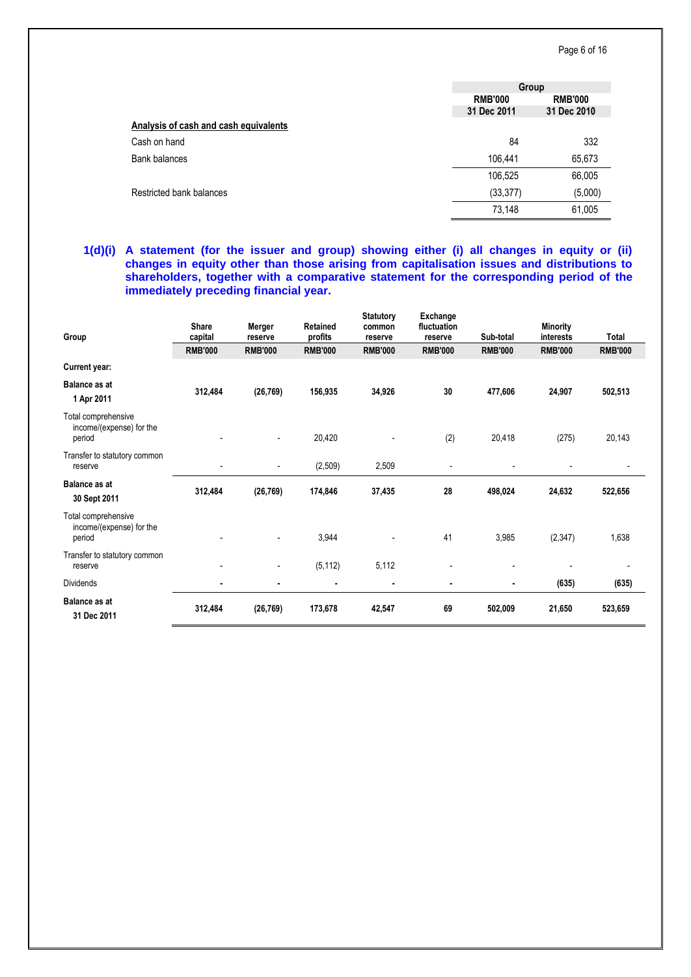|                                       | Group          |                |  |
|---------------------------------------|----------------|----------------|--|
|                                       | <b>RMB'000</b> | <b>RMB'000</b> |  |
|                                       | 31 Dec 2011    | 31 Dec 2010    |  |
| Analysis of cash and cash equivalents |                |                |  |
| Cash on hand                          | 84             | 332            |  |
| <b>Bank balances</b>                  | 106,441        | 65,673         |  |
|                                       | 106,525        | 66,005         |  |
| Restricted bank balances              | (33, 377)      | (5,000)        |  |
|                                       | 73,148         | 61,005         |  |

# **1(d)(i) A statement (for the issuer and group) showing either (i) all changes in equity or (ii) changes in equity other than those arising from capitalisation issues and distributions to shareholders, together with a comparative statement for the corresponding period of the immediately preceding financial year.**

| Group                                                     | <b>Share</b><br>capital  | Merger<br>reserve | <b>Retained</b><br>profits | <b>Statutory</b><br>common<br>reserve | Exchange<br>fluctuation<br>reserve | Sub-total      | <b>Minority</b><br>interests | Total          |
|-----------------------------------------------------------|--------------------------|-------------------|----------------------------|---------------------------------------|------------------------------------|----------------|------------------------------|----------------|
|                                                           | <b>RMB'000</b>           | <b>RMB'000</b>    | <b>RMB'000</b>             | <b>RMB'000</b>                        | <b>RMB'000</b>                     | <b>RMB'000</b> | <b>RMB'000</b>               | <b>RMB'000</b> |
| Current year:                                             |                          |                   |                            |                                       |                                    |                |                              |                |
| <b>Balance as at</b><br>1 Apr 2011                        | 312,484                  | (26, 769)         | 156,935                    | 34,926                                | 30                                 | 477,606        | 24,907                       | 502,513        |
| Total comprehensive<br>income/(expense) for the<br>period |                          |                   | 20,420                     |                                       | (2)                                | 20,418         | (275)                        | 20,143         |
| Transfer to statutory common<br>reserve                   |                          |                   | (2,509)                    | 2,509                                 |                                    |                |                              |                |
| <b>Balance as at</b><br>30 Sept 2011                      | 312,484                  | (26, 769)         | 174,846                    | 37,435                                | 28                                 | 498,024        | 24,632                       | 522,656        |
| Total comprehensive<br>income/(expense) for the<br>period |                          |                   | 3,944                      |                                       | 41                                 | 3,985          | (2, 347)                     | 1,638          |
| Transfer to statutory common<br>reserve                   | $\overline{\phantom{a}}$ | $\overline{a}$    | (5, 112)                   | 5,112                                 |                                    |                |                              |                |
| <b>Dividends</b>                                          | $\blacksquare$           | ۰                 | $\blacksquare$             | ٠                                     | ٠                                  | $\blacksquare$ | (635)                        | (635)          |
| <b>Balance as at</b><br>31 Dec 2011                       | 312,484                  | (26, 769)         | 173,678                    | 42,547                                | 69                                 | 502,009        | 21,650                       | 523,659        |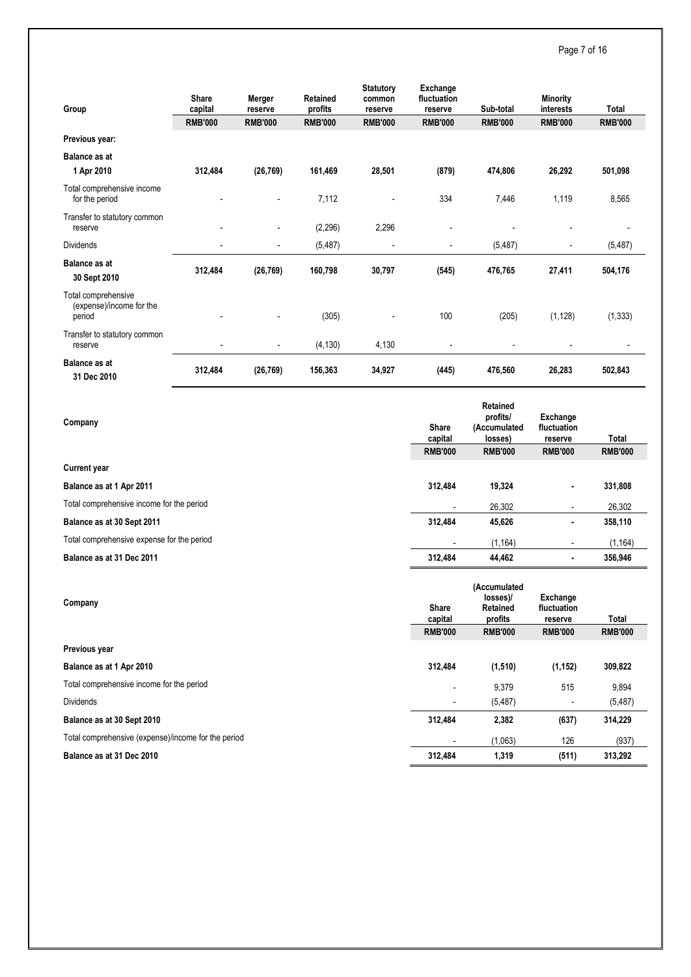# Page 7 of 16

| Group                                                     | <b>Share</b><br>capital<br><b>RMB'000</b> | Merger<br>reserve<br><b>RMB'000</b> | Retained<br>profits<br><b>RMB'000</b> | <b>Statutory</b><br>common<br>reserve<br><b>RMB'000</b> | Exchange<br>fluctuation<br>reserve<br><b>RMB'000</b> | Sub-total<br><b>RMB'000</b> | <b>Minority</b><br>interests<br><b>RMB'000</b> | Total<br><b>RMB'000</b> |
|-----------------------------------------------------------|-------------------------------------------|-------------------------------------|---------------------------------------|---------------------------------------------------------|------------------------------------------------------|-----------------------------|------------------------------------------------|-------------------------|
| Previous year:                                            |                                           |                                     |                                       |                                                         |                                                      |                             |                                                |                         |
| <b>Balance as at</b><br>1 Apr 2010                        | 312,484                                   | (26, 769)                           | 161,469                               | 28,501                                                  | (879)                                                | 474,806                     | 26,292                                         | 501,098                 |
| Total comprehensive income<br>for the period              |                                           |                                     | 7,112                                 | $\overline{\phantom{a}}$                                | 334                                                  | 7,446                       | 1,119                                          | 8,565                   |
| Transfer to statutory common<br>reserve                   |                                           |                                     | (2, 296)                              | 2,296                                                   |                                                      |                             |                                                |                         |
| Dividends                                                 |                                           |                                     | (5, 487)                              | $\overline{\phantom{a}}$                                | $\overline{\phantom{a}}$                             | (5, 487)                    | $\overline{\phantom{a}}$                       | (5, 487)                |
| <b>Balance as at</b><br>30 Sept 2010                      | 312,484                                   | (26, 769)                           | 160,798                               | 30,797                                                  | (545)                                                | 476,765                     | 27,411                                         | 504,176                 |
| Total comprehensive<br>(expense)/income for the<br>period |                                           |                                     | (305)                                 |                                                         | 100                                                  | (205)                       | (1, 128)                                       | (1, 333)                |
| Transfer to statutory common<br>reserve                   |                                           |                                     | (4, 130)                              | 4,130                                                   |                                                      |                             |                                                |                         |
| <b>Balance as at</b><br>31 Dec 2010                       | 312,484                                   | (26, 769)                           | 156,363                               | 34,927                                                  | (445)                                                | 476,560                     | 26,283                                         | 502,843                 |

|                                            |                         | <b>Retained</b>                                        |                                    |                |
|--------------------------------------------|-------------------------|--------------------------------------------------------|------------------------------------|----------------|
| Company                                    | <b>Share</b>            | profits/<br>(Accumulated                               | Exchange<br>fluctuation            |                |
|                                            | capital                 | losses)                                                | reserve                            | Total          |
|                                            | <b>RMB'000</b>          | <b>RMB'000</b>                                         | <b>RMB'000</b>                     | <b>RMB'000</b> |
| <b>Current year</b>                        |                         |                                                        |                                    |                |
| Balance as at 1 Apr 2011                   | 312,484                 | 19,324                                                 |                                    | 331,808        |
| Total comprehensive income for the period  |                         | 26,302                                                 |                                    | 26,302         |
| Balance as at 30 Sept 2011                 | 312,484                 | 45,626                                                 |                                    | 358,110        |
| Total comprehensive expense for the period |                         | (1, 164)                                               |                                    | (1, 164)       |
| Balance as at 31 Dec 2011                  | 312,484                 | 44,462                                                 | $\blacksquare$                     | 356,946        |
|                                            |                         |                                                        |                                    |                |
| Company                                    | <b>Share</b><br>capital | (Accumulated<br>losses)/<br><b>Retained</b><br>profits | Exchange<br>fluctuation<br>reserve | Total          |
|                                            | <b>RMB'000</b>          | <b>RMB'000</b>                                         | <b>RMB'000</b>                     | <b>RMB'000</b> |
| Previous year                              |                         |                                                        |                                    |                |
| Balance as at 1 Apr 2010                   | 312,484                 | (1, 510)                                               | (1, 152)                           | 309,822        |
| Total comprehensive income for the period  |                         | 9,379                                                  | 515                                | 9,894          |
| <b>Dividends</b>                           |                         | (5, 487)                                               |                                    | (5, 487)       |
| Balance as at 30 Sept 2010                 | 312,484                 | 2,382                                                  | (637)                              | 314,229        |

**Balance as at 31 Dec 2010 312,484 1,319 (511) 313,292**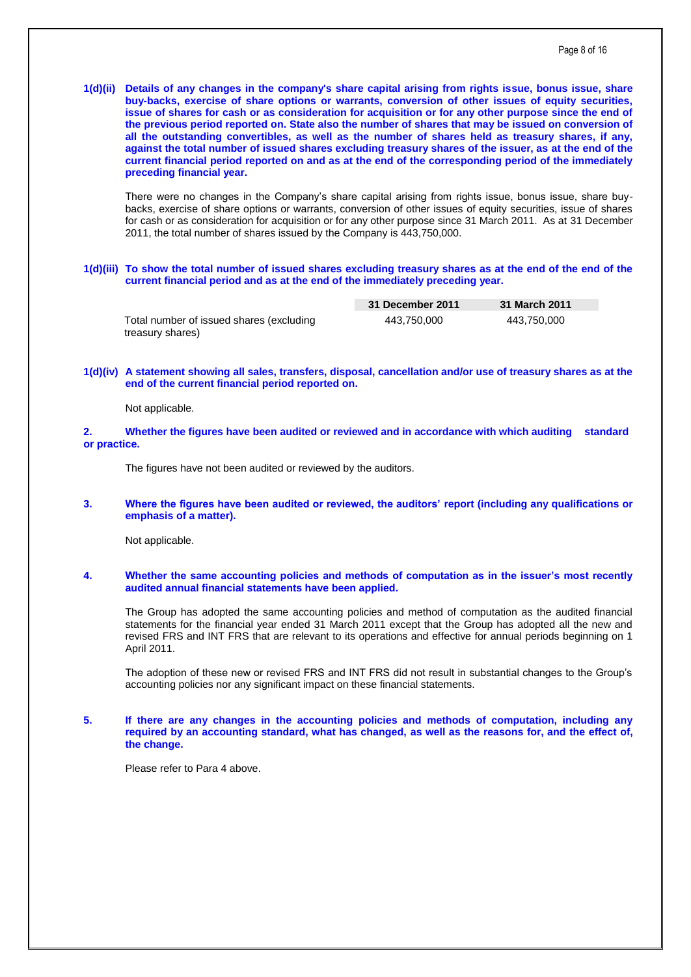**1(d)(ii) Details of any changes in the company's share capital arising from rights issue, bonus issue, share buy-backs, exercise of share options or warrants, conversion of other issues of equity securities, issue of shares for cash or as consideration for acquisition or for any other purpose since the end of the previous period reported on. State also the number of shares that may be issued on conversion of all the outstanding convertibles, as well as the number of shares held as treasury shares, if any, against the total number of issued shares excluding treasury shares of the issuer, as at the end of the current financial period reported on and as at the end of the corresponding period of the immediately preceding financial year.**

There were no changes in the Company's share capital arising from rights issue, bonus issue, share buybacks, exercise of share options or warrants, conversion of other issues of equity securities, issue of shares for cash or as consideration for acquisition or for any other purpose since 31 March 2011. As at 31 December 2011, the total number of shares issued by the Company is 443,750,000.

#### **1(d)(iii) To show the total number of issued shares excluding treasury shares as at the end of the end of the current financial period and as at the end of the immediately preceding year.**

|                                                              | 31 December 2011 | 31 March 2011 |  |
|--------------------------------------------------------------|------------------|---------------|--|
| Total number of issued shares (excluding<br>treasury shares) | 443.750.000      | 443.750.000   |  |

# **1(d)(iv) A statement showing all sales, transfers, disposal, cancellation and/or use of treasury shares as at the end of the current financial period reported on.**

Not applicable.

### **2. Whether the figures have been audited or reviewed and in accordance with which auditing standard or practice.**

The figures have not been audited or reviewed by the auditors.

#### **3. Where the figures have been audited or reviewed, the auditors' report (including any qualifications or emphasis of a matter).**

Not applicable.

## **4. Whether the same accounting policies and methods of computation as in the issuer's most recently audited annual financial statements have been applied.**

The Group has adopted the same accounting policies and method of computation as the audited financial statements for the financial year ended 31 March 2011 except that the Group has adopted all the new and revised FRS and INT FRS that are relevant to its operations and effective for annual periods beginning on 1 April 2011.

The adoption of these new or revised FRS and INT FRS did not result in substantial changes to the Group's accounting policies nor any significant impact on these financial statements.

## **5. If there are any changes in the accounting policies and methods of computation, including any required by an accounting standard, what has changed, as well as the reasons for, and the effect of, the change.**

Please refer to Para 4 above.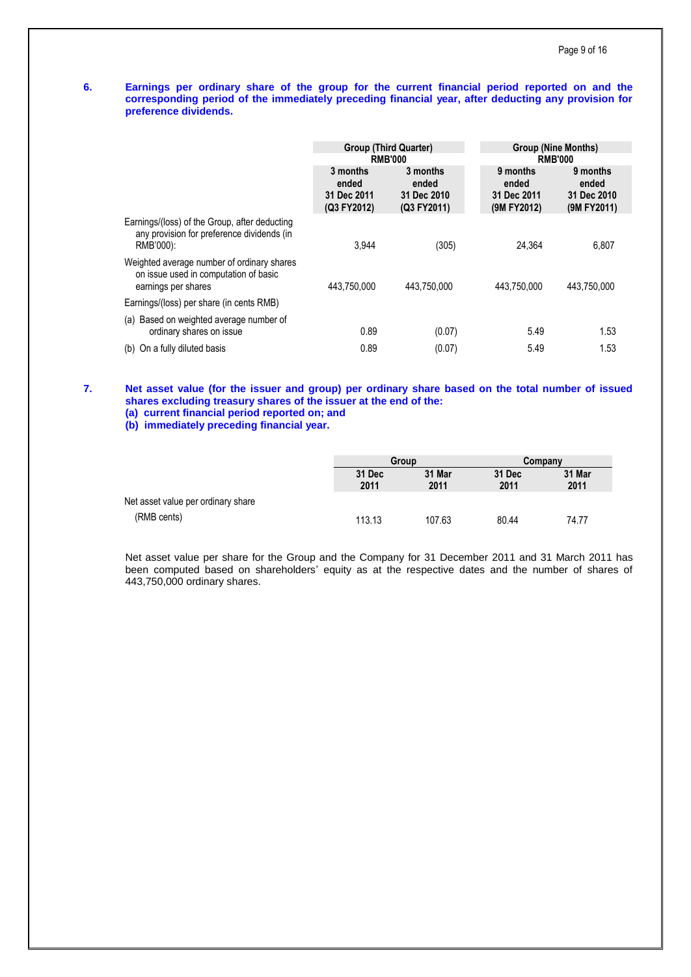# **6. Earnings per ordinary share of the group for the current financial period reported on and the corresponding period of the immediately preceding financial year, after deducting any provision for preference dividends.**

|                                                                                                            | <b>Group (Third Quarter)</b>                    |                                                 | <b>Group (Nine Months)</b>                      |                                                 |  |
|------------------------------------------------------------------------------------------------------------|-------------------------------------------------|-------------------------------------------------|-------------------------------------------------|-------------------------------------------------|--|
|                                                                                                            |                                                 | <b>RMB'000</b>                                  | <b>RMB'000</b>                                  |                                                 |  |
|                                                                                                            | 3 months<br>ended<br>31 Dec 2011<br>(Q3 FY2012) | 3 months<br>ended<br>31 Dec 2010<br>(Q3 FY2011) | 9 months<br>ended<br>31 Dec 2011<br>(9M FY2012) | 9 months<br>ended<br>31 Dec 2010<br>(9M FY2011) |  |
| Earnings/(loss) of the Group, after deducting<br>any provision for preference dividends (in<br>RMB'000):   | 3.944                                           | (305)                                           | 24.364                                          | 6,807                                           |  |
| Weighted average number of ordinary shares<br>on issue used in computation of basic<br>earnings per shares | 443.750.000                                     | 443.750.000                                     | 443.750.000                                     | 443.750.000                                     |  |
| Earnings/(loss) per share (in cents RMB)                                                                   |                                                 |                                                 |                                                 |                                                 |  |
| Based on weighted average number of<br>(a)<br>ordinary shares on issue                                     | 0.89                                            | (0.07)                                          | 5.49                                            | 1.53                                            |  |
| On a fully diluted basis<br>(b)                                                                            | 0.89                                            | (0.07)                                          | 5.49                                            | 1.53                                            |  |

**7. Net asset value (for the issuer and group) per ordinary share based on the total number of issued shares excluding treasury shares of the issuer at the end of the: (a) current financial period reported on; and** 

**(b) immediately preceding financial year.**

|                                    | Group          |                | Company        |                |
|------------------------------------|----------------|----------------|----------------|----------------|
|                                    | 31 Dec<br>2011 | 31 Mar<br>2011 | 31 Dec<br>2011 | 31 Mar<br>2011 |
| Net asset value per ordinary share |                |                |                |                |
| (RMB cents)                        | 113.13         | 107.63         | 80.44          | 74.77          |

Net asset value per share for the Group and the Company for 31 December 2011 and 31 March 2011 has been computed based on shareholders' equity as at the respective dates and the number of shares of 443,750,000 ordinary shares.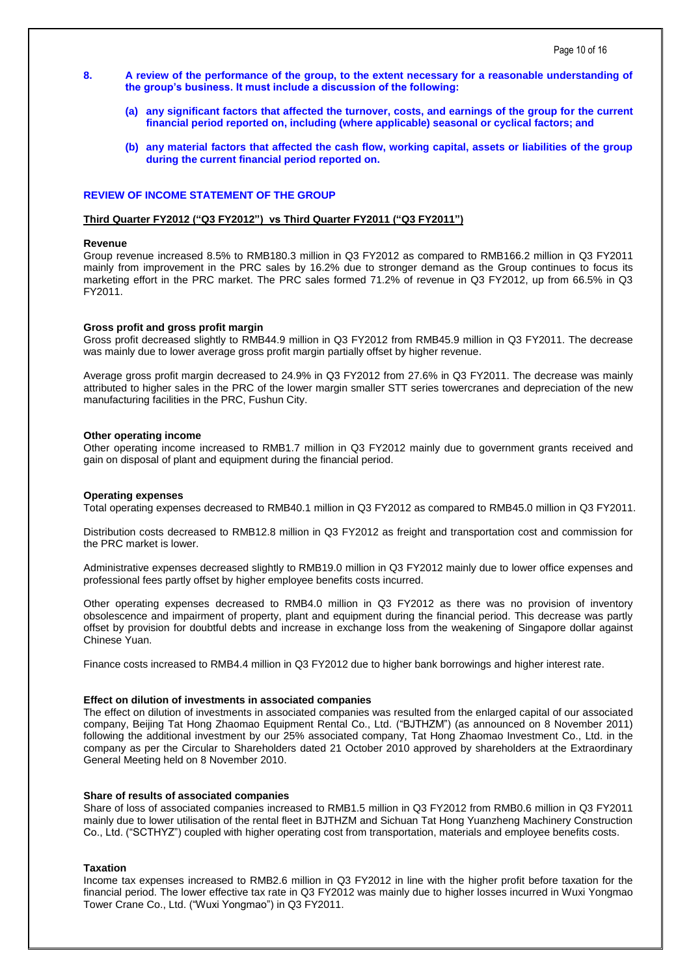- **8. A review of the performance of the group, to the extent necessary for a reasonable understanding of the group's business. It must include a discussion of the following:**
	- **(a) any significant factors that affected the turnover, costs, and earnings of the group for the current financial period reported on, including (where applicable) seasonal or cyclical factors; and**
	- **(b) any material factors that affected the cash flow, working capital, assets or liabilities of the group during the current financial period reported on.**

# **REVIEW OF INCOME STATEMENT OF THE GROUP**

#### **Third Quarter FY2012 ("Q3 FY2012") vs Third Quarter FY2011 ("Q3 FY2011")**

#### **Revenue**

Group revenue increased 8.5% to RMB180.3 million in Q3 FY2012 as compared to RMB166.2 million in Q3 FY2011 mainly from improvement in the PRC sales by 16.2% due to stronger demand as the Group continues to focus its marketing effort in the PRC market. The PRC sales formed 71.2% of revenue in Q3 FY2012, up from 66.5% in Q3 FY2011.

#### **Gross profit and gross profit margin**

Gross profit decreased slightly to RMB44.9 million in Q3 FY2012 from RMB45.9 million in Q3 FY2011. The decrease was mainly due to lower average gross profit margin partially offset by higher revenue.

Average gross profit margin decreased to 24.9% in Q3 FY2012 from 27.6% in Q3 FY2011. The decrease was mainly attributed to higher sales in the PRC of the lower margin smaller STT series towercranes and depreciation of the new manufacturing facilities in the PRC, Fushun City.

#### **Other operating income**

Other operating income increased to RMB1.7 million in Q3 FY2012 mainly due to government grants received and gain on disposal of plant and equipment during the financial period.

#### **Operating expenses**

Total operating expenses decreased to RMB40.1 million in Q3 FY2012 as compared to RMB45.0 million in Q3 FY2011.

Distribution costs decreased to RMB12.8 million in Q3 FY2012 as freight and transportation cost and commission for the PRC market is lower.

Administrative expenses decreased slightly to RMB19.0 million in Q3 FY2012 mainly due to lower office expenses and professional fees partly offset by higher employee benefits costs incurred.

Other operating expenses decreased to RMB4.0 million in Q3 FY2012 as there was no provision of inventory obsolescence and impairment of property, plant and equipment during the financial period. This decrease was partly offset by provision for doubtful debts and increase in exchange loss from the weakening of Singapore dollar against Chinese Yuan.

Finance costs increased to RMB4.4 million in Q3 FY2012 due to higher bank borrowings and higher interest rate.

### **Effect on dilution of investments in associated companies**

The effect on dilution of investments in associated companies was resulted from the enlarged capital of our associated company, Beijing Tat Hong Zhaomao Equipment Rental Co., Ltd. ("BJTHZM") (as announced on 8 November 2011) following the additional investment by our 25% associated company, Tat Hong Zhaomao Investment Co., Ltd. in the company as per the Circular to Shareholders dated 21 October 2010 approved by shareholders at the Extraordinary General Meeting held on 8 November 2010.

#### **Share of results of associated companies**

Share of loss of associated companies increased to RMB1.5 million in Q3 FY2012 from RMB0.6 million in Q3 FY2011 mainly due to lower utilisation of the rental fleet in BJTHZM and Sichuan Tat Hong Yuanzheng Machinery Construction Co., Ltd. ("SCTHYZ") coupled with higher operating cost from transportation, materials and employee benefits costs.

## **Taxation**

Income tax expenses increased to RMB2.6 million in Q3 FY2012 in line with the higher profit before taxation for the financial period. The lower effective tax rate in Q3 FY2012 was mainly due to higher losses incurred in Wuxi Yongmao Tower Crane Co., Ltd. ("Wuxi Yongmao") in Q3 FY2011.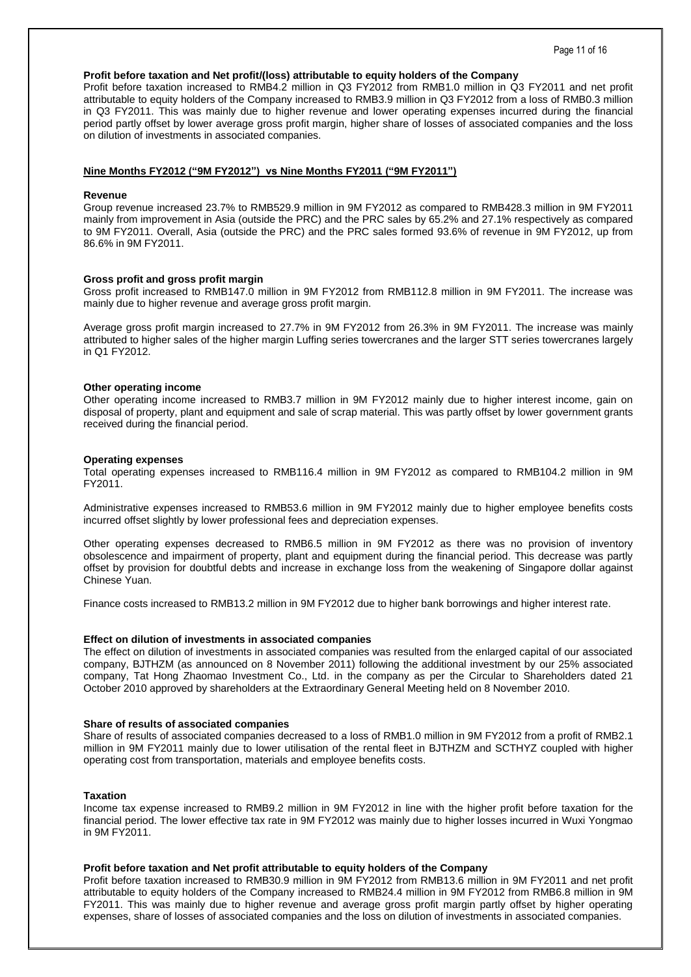# **Profit before taxation and Net profit/(loss) attributable to equity holders of the Company**

Profit before taxation increased to RMB4.2 million in Q3 FY2012 from RMB1.0 million in Q3 FY2011 and net profit attributable to equity holders of the Company increased to RMB3.9 million in Q3 FY2012 from a loss of RMB0.3 million in Q3 FY2011. This was mainly due to higher revenue and lower operating expenses incurred during the financial period partly offset by lower average gross profit margin, higher share of losses of associated companies and the loss on dilution of investments in associated companies.

## **Nine Months FY2012 ("9M FY2012") vs Nine Months FY2011 ("9M FY2011")**

### **Revenue**

Group revenue increased 23.7% to RMB529.9 million in 9M FY2012 as compared to RMB428.3 million in 9M FY2011 mainly from improvement in Asia (outside the PRC) and the PRC sales by 65.2% and 27.1% respectively as compared to 9M FY2011. Overall, Asia (outside the PRC) and the PRC sales formed 93.6% of revenue in 9M FY2012, up from 86.6% in 9M FY2011.

## **Gross profit and gross profit margin**

Gross profit increased to RMB147.0 million in 9M FY2012 from RMB112.8 million in 9M FY2011. The increase was mainly due to higher revenue and average gross profit margin.

Average gross profit margin increased to 27.7% in 9M FY2012 from 26.3% in 9M FY2011. The increase was mainly attributed to higher sales of the higher margin Luffing series towercranes and the larger STT series towercranes largely in Q1 FY2012.

#### **Other operating income**

Other operating income increased to RMB3.7 million in 9M FY2012 mainly due to higher interest income, gain on disposal of property, plant and equipment and sale of scrap material. This was partly offset by lower government grants received during the financial period.

## **Operating expenses**

Total operating expenses increased to RMB116.4 million in 9M FY2012 as compared to RMB104.2 million in 9M FY2011.

Administrative expenses increased to RMB53.6 million in 9M FY2012 mainly due to higher employee benefits costs incurred offset slightly by lower professional fees and depreciation expenses.

Other operating expenses decreased to RMB6.5 million in 9M FY2012 as there was no provision of inventory obsolescence and impairment of property, plant and equipment during the financial period. This decrease was partly offset by provision for doubtful debts and increase in exchange loss from the weakening of Singapore dollar against Chinese Yuan.

Finance costs increased to RMB13.2 million in 9M FY2012 due to higher bank borrowings and higher interest rate.

#### **Effect on dilution of investments in associated companies**

The effect on dilution of investments in associated companies was resulted from the enlarged capital of our associated company, BJTHZM (as announced on 8 November 2011) following the additional investment by our 25% associated company, Tat Hong Zhaomao Investment Co., Ltd. in the company as per the Circular to Shareholders dated 21 October 2010 approved by shareholders at the Extraordinary General Meeting held on 8 November 2010.

### **Share of results of associated companies**

Share of results of associated companies decreased to a loss of RMB1.0 million in 9M FY2012 from a profit of RMB2.1 million in 9M FY2011 mainly due to lower utilisation of the rental fleet in BJTHZM and SCTHYZ coupled with higher operating cost from transportation, materials and employee benefits costs.

## **Taxation**

Income tax expense increased to RMB9.2 million in 9M FY2012 in line with the higher profit before taxation for the financial period. The lower effective tax rate in 9M FY2012 was mainly due to higher losses incurred in Wuxi Yongmao in 9M FY2011.

#### **Profit before taxation and Net profit attributable to equity holders of the Company**

Profit before taxation increased to RMB30.9 million in 9M FY2012 from RMB13.6 million in 9M FY2011 and net profit attributable to equity holders of the Company increased to RMB24.4 million in 9M FY2012 from RMB6.8 million in 9M FY2011. This was mainly due to higher revenue and average gross profit margin partly offset by higher operating expenses, share of losses of associated companies and the loss on dilution of investments in associated companies.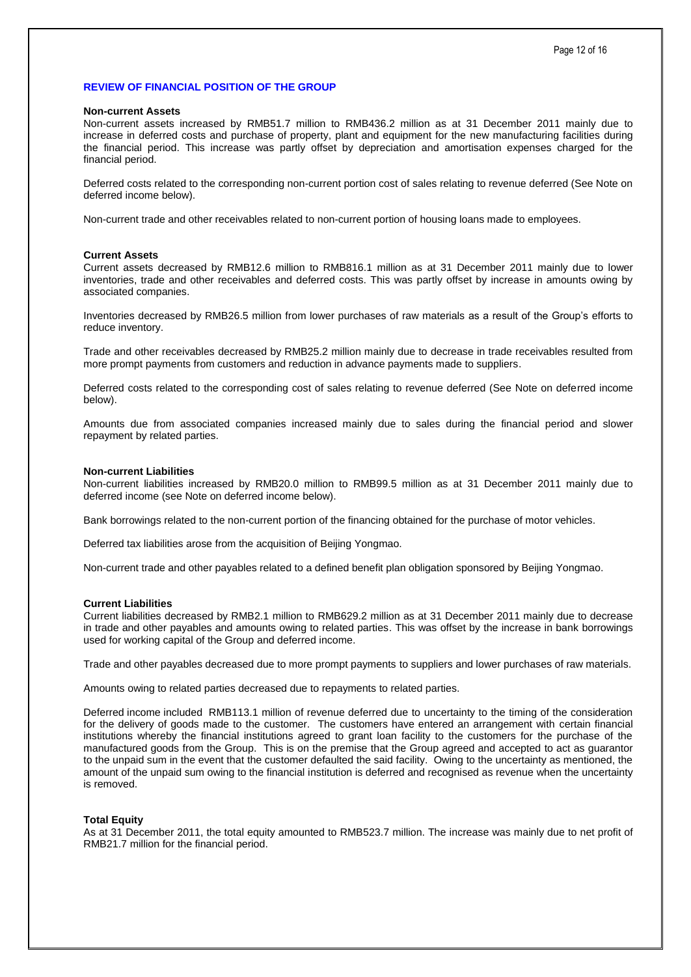# **REVIEW OF FINANCIAL POSITION OF THE GROUP**

#### **Non-current Assets**

Non-current assets increased by RMB51.7 million to RMB436.2 million as at 31 December 2011 mainly due to increase in deferred costs and purchase of property, plant and equipment for the new manufacturing facilities during the financial period. This increase was partly offset by depreciation and amortisation expenses charged for the financial period.

Deferred costs related to the corresponding non-current portion cost of sales relating to revenue deferred (See Note on deferred income below).

Non-current trade and other receivables related to non-current portion of housing loans made to employees.

#### **Current Assets**

Current assets decreased by RMB12.6 million to RMB816.1 million as at 31 December 2011 mainly due to lower inventories, trade and other receivables and deferred costs. This was partly offset by increase in amounts owing by associated companies.

Inventories decreased by RMB26.5 million from lower purchases of raw materials as a result of the Group's efforts to reduce inventory.

Trade and other receivables decreased by RMB25.2 million mainly due to decrease in trade receivables resulted from more prompt payments from customers and reduction in advance payments made to suppliers.

Deferred costs related to the corresponding cost of sales relating to revenue deferred (See Note on deferred income below).

Amounts due from associated companies increased mainly due to sales during the financial period and slower repayment by related parties.

#### **Non-current Liabilities**

Non-current liabilities increased by RMB20.0 million to RMB99.5 million as at 31 December 2011 mainly due to deferred income (see Note on deferred income below).

Bank borrowings related to the non-current portion of the financing obtained for the purchase of motor vehicles.

Deferred tax liabilities arose from the acquisition of Beijing Yongmao.

Non-current trade and other payables related to a defined benefit plan obligation sponsored by Beijing Yongmao.

## **Current Liabilities**

Current liabilities decreased by RMB2.1 million to RMB629.2 million as at 31 December 2011 mainly due to decrease in trade and other payables and amounts owing to related parties. This was offset by the increase in bank borrowings used for working capital of the Group and deferred income.

Trade and other payables decreased due to more prompt payments to suppliers and lower purchases of raw materials.

Amounts owing to related parties decreased due to repayments to related parties.

Deferred income included RMB113.1 million of revenue deferred due to uncertainty to the timing of the consideration for the delivery of goods made to the customer. The customers have entered an arrangement with certain financial institutions whereby the financial institutions agreed to grant loan facility to the customers for the purchase of the manufactured goods from the Group. This is on the premise that the Group agreed and accepted to act as guarantor to the unpaid sum in the event that the customer defaulted the said facility. Owing to the uncertainty as mentioned, the amount of the unpaid sum owing to the financial institution is deferred and recognised as revenue when the uncertainty is removed.

## **Total Equity**

As at 31 December 2011, the total equity amounted to RMB523.7 million. The increase was mainly due to net profit of RMB21.7 million for the financial period.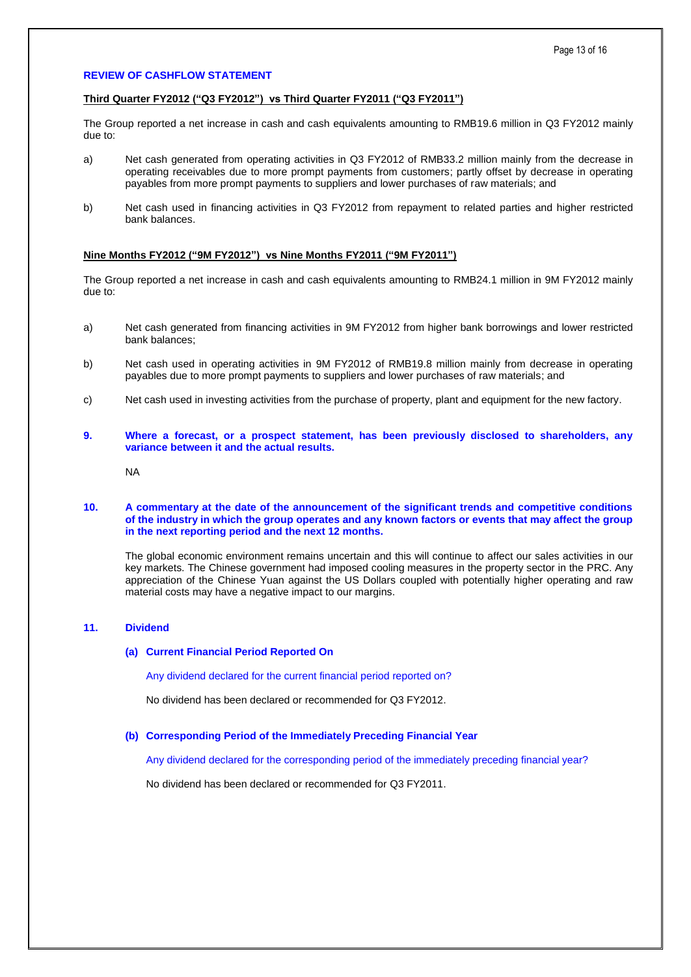## **REVIEW OF CASHFLOW STATEMENT**

# **Third Quarter FY2012 ("Q3 FY2012") vs Third Quarter FY2011 ("Q3 FY2011")**

The Group reported a net increase in cash and cash equivalents amounting to RMB19.6 million in Q3 FY2012 mainly due to:

- a) Net cash generated from operating activities in Q3 FY2012 of RMB33.2 million mainly from the decrease in operating receivables due to more prompt payments from customers; partly offset by decrease in operating payables from more prompt payments to suppliers and lower purchases of raw materials; and
- b) Net cash used in financing activities in Q3 FY2012 from repayment to related parties and higher restricted bank balances.

# **Nine Months FY2012 ("9M FY2012") vs Nine Months FY2011 ("9M FY2011")**

The Group reported a net increase in cash and cash equivalents amounting to RMB24.1 million in 9M FY2012 mainly due to:

- a) Net cash generated from financing activities in 9M FY2012 from higher bank borrowings and lower restricted bank balances;
- b) Net cash used in operating activities in 9M FY2012 of RMB19.8 million mainly from decrease in operating payables due to more prompt payments to suppliers and lower purchases of raw materials; and
- c) Net cash used in investing activities from the purchase of property, plant and equipment for the new factory.
- **9. Where a forecast, or a prospect statement, has been previously disclosed to shareholders, any variance between it and the actual results.**

NA

### **10. A commentary at the date of the announcement of the significant trends and competitive conditions of the industry in which the group operates and any known factors or events that may affect the group in the next reporting period and the next 12 months.**

The global economic environment remains uncertain and this will continue to affect our sales activities in our key markets. The Chinese government had imposed cooling measures in the property sector in the PRC. Any appreciation of the Chinese Yuan against the US Dollars coupled with potentially higher operating and raw material costs may have a negative impact to our margins.

# **11. Dividend**

## **(a) Current Financial Period Reported On**

Any dividend declared for the current financial period reported on?

No dividend has been declared or recommended for Q3 FY2012.

#### **(b) Corresponding Period of the Immediately Preceding Financial Year**

Any dividend declared for the corresponding period of the immediately preceding financial year?

No dividend has been declared or recommended for Q3 FY2011.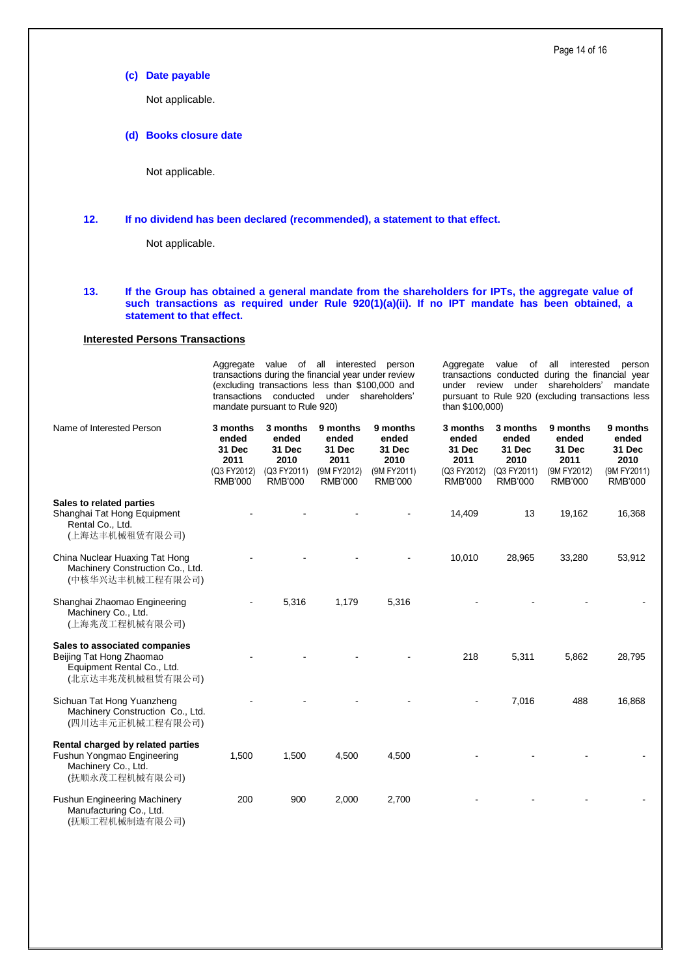**(c) Date payable**

Not applicable.

**(d) Books closure date**

Not applicable.

# **12. If no dividend has been declared (recommended), a statement to that effect.**

Not applicable.

# **13. If the Group has obtained a general mandate from the shareholders for IPTs, the aggregate value of such transactions as required under Rule 920(1)(a)(ii). If no IPT mandate has been obtained, a statement to that effect.**

# **Interested Persons Transactions**

Aggregate value of all interested person transactions during the financial year under review (excluding transactions less than \$100,000 and transactions conducted under shareholders' mandate pursuant to Rule 920)

Aggregate value of all interested person transactions conducted during the financial year under review under shareholders' mandate pursuant to Rule 920 (excluding transactions less than \$100,000)

| Name of Interested Person                                                                                   | 3 months<br>ended<br>31 Dec<br>2011<br>(Q3 FY2012)<br><b>RMB'000</b> | 3 months<br>ended<br>31 Dec<br>2010<br>(Q3 FY2011)<br><b>RMB'000</b> | 9 months<br>ended<br>31 Dec<br>2011<br>(9M FY2012)<br><b>RMB'000</b> | 9 months<br>ended<br>31 Dec<br>2010<br>(9M FY2011)<br><b>RMB'000</b> | 3 months<br>ended<br>31 Dec<br>2011<br>(Q3 FY2012)<br><b>RMB'000</b> | 3 months<br>ended<br>31 Dec<br>2010<br>(Q3 FY2011)<br><b>RMB'000</b> | 9 months<br>ended<br>31 Dec<br>2011<br>(9M FY2012)<br><b>RMB'000</b> | 9 months<br>ended<br>31 Dec<br>2010<br>(9M FY2011)<br><b>RMB'000</b> |
|-------------------------------------------------------------------------------------------------------------|----------------------------------------------------------------------|----------------------------------------------------------------------|----------------------------------------------------------------------|----------------------------------------------------------------------|----------------------------------------------------------------------|----------------------------------------------------------------------|----------------------------------------------------------------------|----------------------------------------------------------------------|
| Sales to related parties<br>Shanghai Tat Hong Equipment<br>Rental Co., Ltd.<br>(上海达丰机械租赁有限公司)               |                                                                      |                                                                      |                                                                      |                                                                      | 14,409                                                               | 13                                                                   | 19,162                                                               | 16,368                                                               |
| China Nuclear Huaxing Tat Hong<br>Machinery Construction Co., Ltd.<br>(中核华兴达丰机械工程有限公司)                      |                                                                      |                                                                      |                                                                      |                                                                      | 10,010                                                               | 28,965                                                               | 33,280                                                               | 53,912                                                               |
| Shanghai Zhaomao Engineering<br>Machinery Co., Ltd.<br>(上海兆茂工程机械有限公司)                                       |                                                                      | 5,316                                                                | 1,179                                                                | 5,316                                                                |                                                                      |                                                                      |                                                                      |                                                                      |
| Sales to associated companies<br>Beijing Tat Hong Zhaomao<br>Equipment Rental Co., Ltd.<br>(北京达丰兆茂机械租赁有限公司) |                                                                      |                                                                      |                                                                      |                                                                      | 218                                                                  | 5,311                                                                | 5,862                                                                | 28,795                                                               |
| Sichuan Tat Hong Yuanzheng<br>Machinery Construction Co., Ltd.<br>(四川达丰元正机械工程有限公司)                          |                                                                      |                                                                      |                                                                      |                                                                      |                                                                      | 7,016                                                                | 488                                                                  | 16,868                                                               |
| Rental charged by related parties<br>Fushun Yongmao Engineering<br>Machinery Co., Ltd.<br>(抚顺永茂工程机械有限公司)    | 1,500                                                                | 1,500                                                                | 4,500                                                                | 4,500                                                                |                                                                      |                                                                      |                                                                      |                                                                      |
| <b>Fushun Engineering Machinery</b><br>Manufacturing Co., Ltd.<br>(抚顺工程机械制造有限公司)                            | 200                                                                  | 900                                                                  | 2,000                                                                | 2,700                                                                |                                                                      |                                                                      |                                                                      |                                                                      |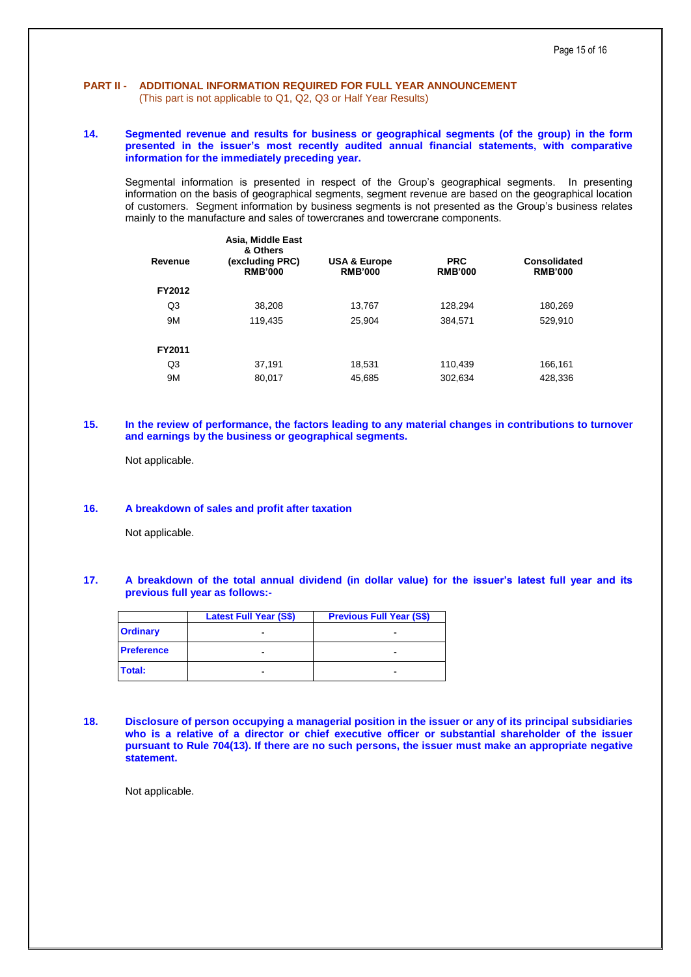# **PART II - ADDITIONAL INFORMATION REQUIRED FOR FULL YEAR ANNOUNCEMENT**  (This part is not applicable to Q1, Q2, Q3 or Half Year Results)

# **14. Segmented revenue and results for business or geographical segments (of the group) in the form presented in the issuer's most recently audited annual financial statements, with comparative information for the immediately preceding year.**

Segmental information is presented in respect of the Group's geographical segments. In presenting information on the basis of geographical segments, segment revenue are based on the geographical location of customers. Segment information by business segments is not presented as the Group's business relates mainly to the manufacture and sales of towercranes and towercrane components.

| Revenue | Asia, Middle East<br>& Others<br>(excluding PRC)<br><b>RMB'000</b> | <b>USA &amp; Europe</b><br><b>RMB'000</b> | <b>PRC</b><br><b>RMB'000</b> | Consolidated<br><b>RMB'000</b> |
|---------|--------------------------------------------------------------------|-------------------------------------------|------------------------------|--------------------------------|
| FY2012  |                                                                    |                                           |                              |                                |
| Q3      | 38,208                                                             | 13,767                                    | 128,294                      | 180,269                        |
| 9M      | 119,435                                                            | 25.904                                    | 384.571                      | 529,910                        |
| FY2011  |                                                                    |                                           |                              |                                |
| Q3      | 37,191                                                             | 18,531                                    | 110,439                      | 166,161                        |
| 9M      | 80,017                                                             | 45,685                                    | 302,634                      | 428,336                        |
|         |                                                                    |                                           |                              |                                |

# **15. In the review of performance, the factors leading to any material changes in contributions to turnover and earnings by the business or geographical segments.**

Not applicable.

# **16. A breakdown of sales and profit after taxation**

Not applicable.

# **17. A breakdown of the total annual dividend (in dollar value) for the issuer's latest full year and its previous full year as follows:-**

|                   | <b>Latest Full Year (S\$)</b> | <b>Previous Full Year (S\$)</b> |
|-------------------|-------------------------------|---------------------------------|
| <b>Ordinary</b>   |                               |                                 |
| <b>Preference</b> |                               |                                 |
| Total:            |                               | -                               |

**18. Disclosure of person occupying a managerial position in the issuer or any of its principal subsidiaries who is a relative of a director or chief executive officer or substantial shareholder of the issuer pursuant to Rule 704(13). If there are no such persons, the issuer must make an appropriate negative statement.**

Not applicable.